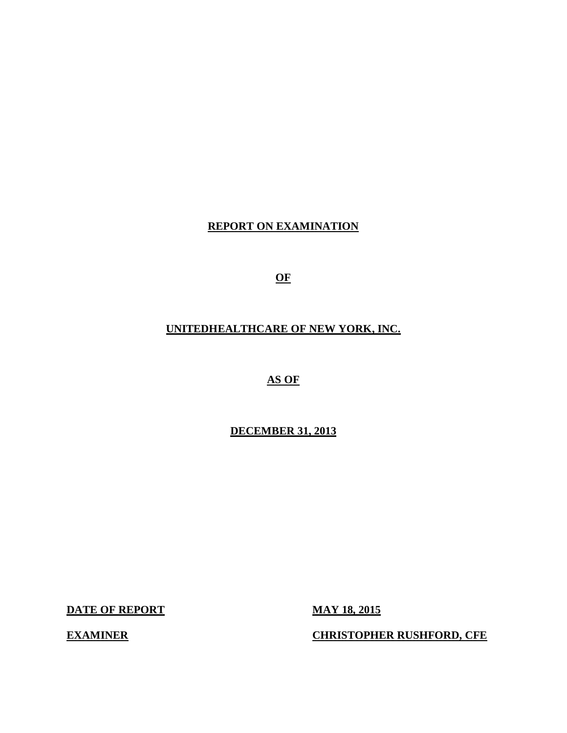**REPORT ON EXAMINATION** 

**OF** 

 **UNITEDHEALTHCARE OF NEW YORK, INC.** 

 **AS OF** 

 **DECEMBER 31, 2013** 

**DATE OF REPORT MAY 18, 2015** 

 **EXAMINER CHRISTOPHER RUSHFORD, CFE**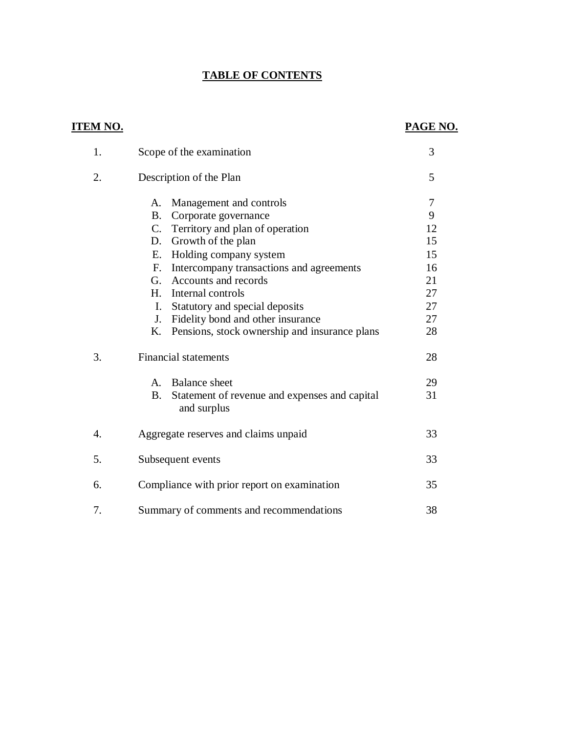# **TABLE OF CONTENTS**

# **ITEM NO.**

# **PAGE NO.**

| 1.               | Scope of the examination                                                                                                                                                                                                                                                                                              | 3                                                |
|------------------|-----------------------------------------------------------------------------------------------------------------------------------------------------------------------------------------------------------------------------------------------------------------------------------------------------------------------|--------------------------------------------------|
| 2.               | Description of the Plan                                                                                                                                                                                                                                                                                               | 5                                                |
|                  | Management and controls<br>A.<br><b>B</b> .<br>Corporate governance<br>C. Territory and plan of operation<br>Growth of the plan<br>D.<br>Holding company system<br>Е.<br>Intercompany transactions and agreements<br>F.<br>G. Accounts and records<br>Internal controls<br>H.<br>Statutory and special deposits<br>Ι. | 7<br>9<br>12<br>15<br>15<br>16<br>21<br>27<br>27 |
|                  | Fidelity bond and other insurance<br>J.                                                                                                                                                                                                                                                                               | 27                                               |
|                  | Pensions, stock ownership and insurance plans<br>K.                                                                                                                                                                                                                                                                   | 28                                               |
| 3.               | <b>Financial statements</b>                                                                                                                                                                                                                                                                                           | 28                                               |
|                  | <b>Balance</b> sheet<br>$A_{-}$                                                                                                                                                                                                                                                                                       | 29                                               |
|                  | <b>B.</b><br>Statement of revenue and expenses and capital<br>and surplus                                                                                                                                                                                                                                             | 31                                               |
| $\overline{4}$ . | Aggregate reserves and claims unpaid                                                                                                                                                                                                                                                                                  | 33                                               |
| 5.               | Subsequent events                                                                                                                                                                                                                                                                                                     | 33                                               |
| 6.               | Compliance with prior report on examination                                                                                                                                                                                                                                                                           | 35                                               |
| 7.               | Summary of comments and recommendations                                                                                                                                                                                                                                                                               | 38                                               |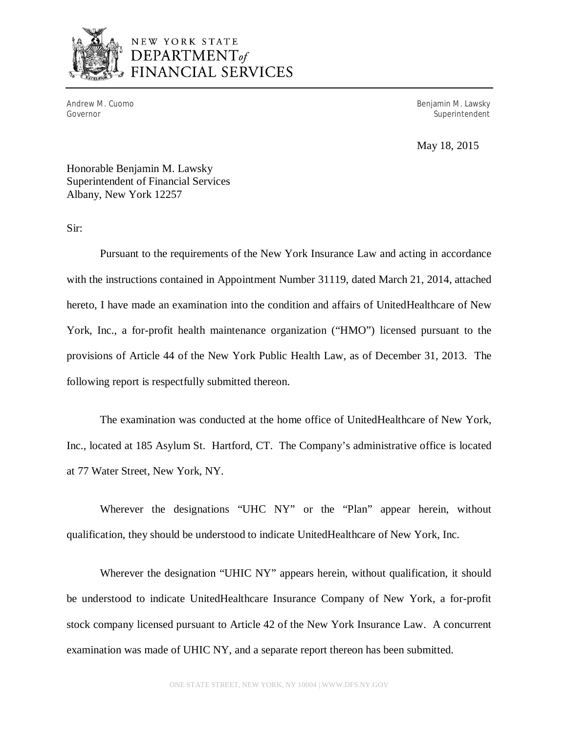

# NEW YORK STATE DEPARTMENT<sub>of</sub> FINANCIAL SERVICES

Andrew M. Cuomo Governor

Benjamin M. Lawsky Superintendent

May 18, 2015

 Honorable Benjamin M. Lawsky Superintendent of Financial Services Albany, New York 12257

Sir:

 Pursuant to the requirements of the New York Insurance Law and acting in accordance with the instructions contained in Appointment Number 31119, dated March 21, 2014, attached hereto, I have made an examination into the condition and affairs of UnitedHealthcare of New York, Inc., a for-profit health maintenance organization ("HMO") licensed pursuant to the provisions of Article 44 of the New York Public Health Law, as of December 31, 2013. The following report is respectfully submitted thereon.

 The examination was conducted at the home office of UnitedHealthcare of New York, Inc., located at 185 Asylum St. Hartford, CT. The Company's administrative office is located at 77 Water Street, New York, NY.

 Wherever the designations "UHC NY" or the "Plan" appear herein, without qualification, they should be understood to indicate UnitedHealthcare of New York, Inc.

 Wherever the designation "UHIC NY" appears herein, without qualification, it should be understood to indicate UnitedHealthcare Insurance Company of New York, a for-profit stock company licensed pursuant to Article 42 of the New York Insurance Law. A concurrent examination was made of UHIC NY, and a separate report thereon has been submitted.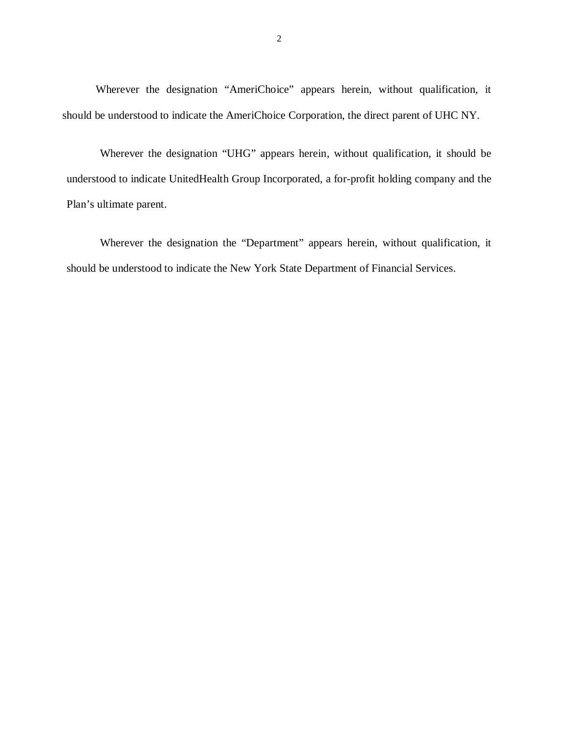Wherever the designation "AmeriChoice" appears herein, without qualification, it should be understood to indicate the AmeriChoice Corporation, the direct parent of UHC NY.

 Wherever the designation "UHG" appears herein, without qualification, it should be understood to indicate UnitedHealth Group Incorporated, a for-profit holding company and the Plan's ultimate parent.

 Wherever the designation the "Department" appears herein, without qualification, it should be understood to indicate the New York State Department of Financial Services.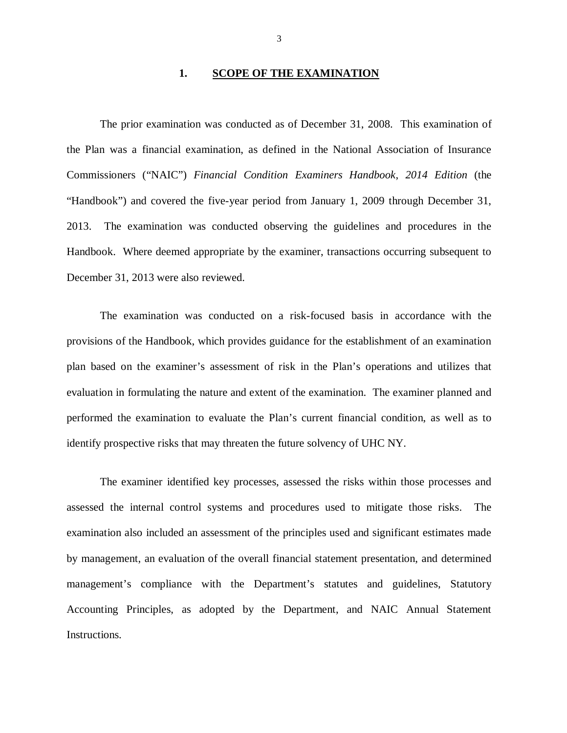# **1. SCOPE OF THE EXAMINATION**

 the Plan was a financial examination, as defined in the National Association of Insurance Commissioners ("NAIC") *Financial Condition Examiners Handbook*, *2014 Edition* (the "Handbook") and covered the five-year period from January 1, 2009 through December 31, 2013. The examination was conducted observing the guidelines and procedures in the Handbook. Where deemed appropriate by the examiner, transactions occurring subsequent to December 31, 2013 were also reviewed. The prior examination was conducted as of December 31, 2008. This examination of

 provisions of the Handbook, which provides guidance for the establishment of an examination plan based on the examiner's assessment of risk in the Plan's operations and utilizes that evaluation in formulating the nature and extent of the examination. The examiner planned and performed the examination to evaluate the Plan's current financial condition, as well as to identify prospective risks that may threaten the future solvency of UHC NY. The examination was conducted on a risk-focused basis in accordance with the

 assessed the internal control systems and procedures used to mitigate those risks. The examination also included an assessment of the principles used and significant estimates made by management, an evaluation of the overall financial statement presentation, and determined management's compliance with the Department's statutes and guidelines, Statutory Accounting Principles, as adopted by the Department, and NAIC Annual Statement The examiner identified key processes, assessed the risks within those processes and Instructions.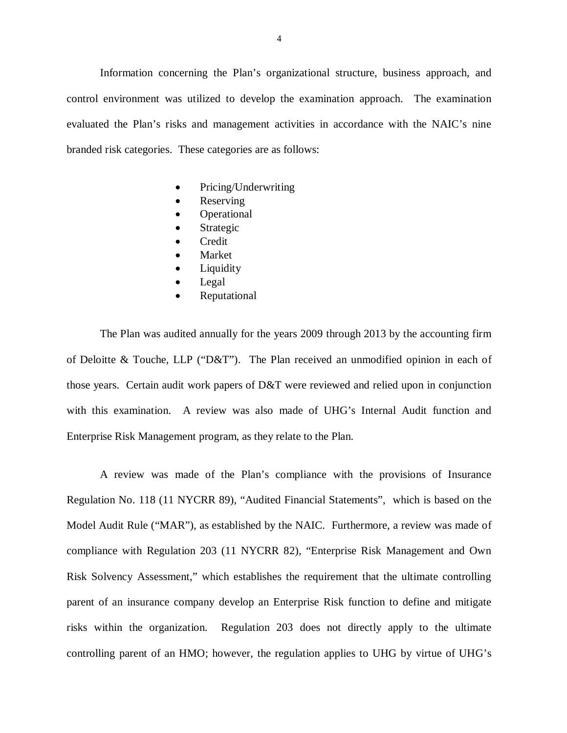Information concerning the Plan's organizational structure, business approach, and control environment was utilized to develop the examination approach. The examination evaluated the Plan's risks and management activities in accordance with the NAIC's nine branded risk categories. These categories are as follows:

- Pricing/Underwriting
- Reserving
- **Operational**
- Strategic
- **•** Credit
- Market
- Liquidity
- Legal
- Reputational

 The Plan was audited annually for the years 2009 through 2013 by the accounting firm of Deloitte & Touche, LLP ("D&T"). The Plan received an unmodified opinion in each of those years. Certain audit work papers of D&T were reviewed and relied upon in conjunction with this examination. A review was also made of UHG's Internal Audit function and Enterprise Risk Management program, as they relate to the Plan.

 Regulation No. 118 (11 NYCRR 89), "Audited Financial Statements", which is based on the Model Audit Rule ("MAR"), as established by the NAIC. Furthermore, a review was made of compliance with Regulation 203 (11 NYCRR 82), "Enterprise Risk Management and Own Risk Solvency Assessment," which establishes the requirement that the ultimate controlling parent of an insurance company develop an Enterprise Risk function to define and mitigate risks within the organization. Regulation 203 does not directly apply to the ultimate controlling parent of an HMO; however, the regulation applies to UHG by virtue of UHG's A review was made of the Plan's compliance with the provisions of Insurance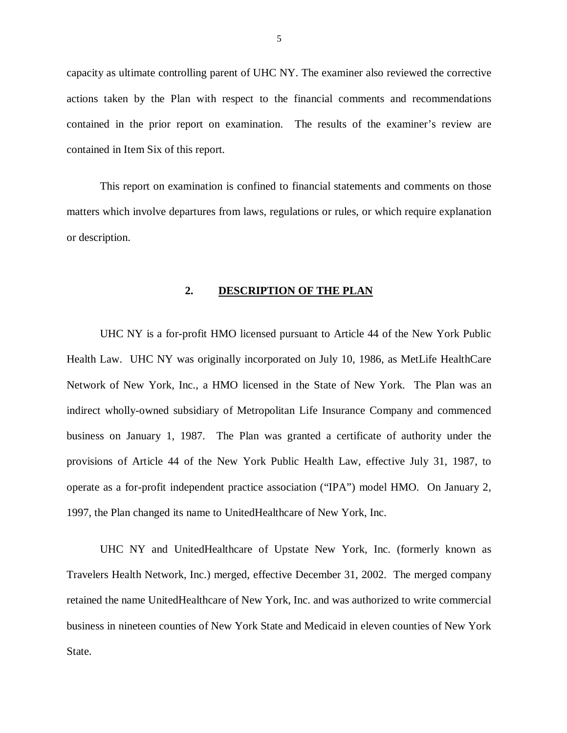capacity as ultimate controlling parent of UHC NY. The examiner also reviewed the corrective actions taken by the Plan with respect to the financial comments and recommendations contained in the prior report on examination. The results of the examiner's review are contained in Item Six of this report.

 matters which involve departures from laws, regulations or rules, or which require explanation or description. This report on examination is confined to financial statements and comments on those

# **2. DESCRIPTION OF THE PLAN**

 UHC NY is a for-profit HMO licensed pursuant to Article 44 of the New York Public Health Law. UHC NY was originally incorporated on July 10, 1986, as MetLife HealthCare Network of New York, Inc., a HMO licensed in the State of New York. The Plan was an indirect wholly-owned subsidiary of Metropolitan Life Insurance Company and commenced business on January 1, 1987. The Plan was granted a certificate of authority under the provisions of Article 44 of the New York Public Health Law, effective July 31, 1987, to operate as a for-profit independent practice association ("IPA") model HMO. On January 2, 1997, the Plan changed its name to UnitedHealthcare of New York, Inc.

 UHC NY and UnitedHealthcare of Upstate New York, Inc. (formerly known as Travelers Health Network, Inc.) merged, effective December 31, 2002. The merged company retained the name UnitedHealthcare of New York, Inc. and was authorized to write commercial business in nineteen counties of New York State and Medicaid in eleven counties of New York State.

5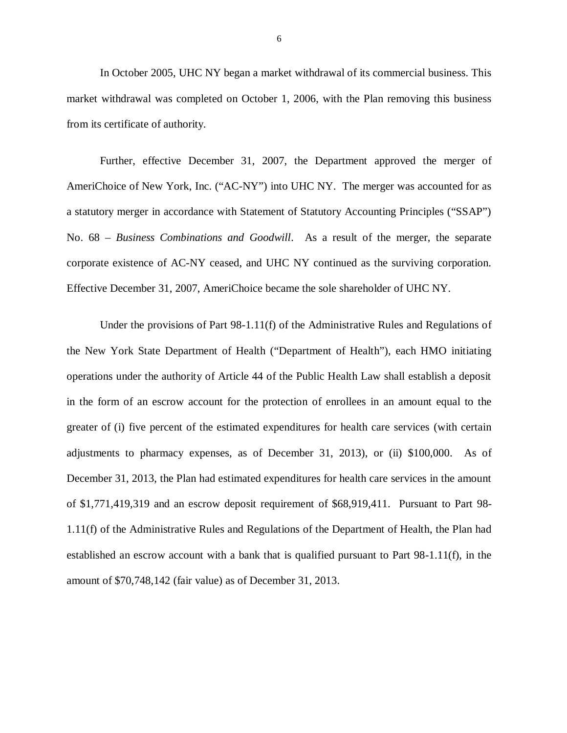In October 2005, UHC NY began a market withdrawal of its commercial business. This market withdrawal was completed on October 1, 2006, with the Plan removing this business from its certificate of authority.

 Further, effective December 31, 2007, the Department approved the merger of AmeriChoice of New York, Inc. ("AC-NY") into UHC NY. The merger was accounted for as a statutory merger in accordance with Statement of Statutory Accounting Principles ("SSAP")  No. 68 *– Business Combinations and Goodwill*. As a result of the merger, the separate corporate existence of AC-NY ceased, and UHC NY continued as the surviving corporation. Effective December 31, 2007, AmeriChoice became the sole shareholder of UHC NY.

 Under the provisions of Part 98-1.11(f) of the Administrative Rules and Regulations of the New York State Department of Health ("Department of Health"), each HMO initiating operations under the authority of Article 44 of the Public Health Law shall establish a deposit in the form of an escrow account for the protection of enrollees in an amount equal to the greater of (i) five percent of the estimated expenditures for health care services (with certain adjustments to pharmacy expenses, as of December 31, 2013), or (ii) \$100,000. As of December 31, 2013, the Plan had estimated expenditures for health care services in the amount of \$1,771,419,319 and an escrow deposit requirement of \$68,919,411. Pursuant to Part 98- 1.11(f) of the Administrative Rules and Regulations of the Department of Health, the Plan had established an escrow account with a bank that is qualified pursuant to Part 98-1.11(f), in the amount of \$70,748,142 (fair value) as of December 31, 2013.

6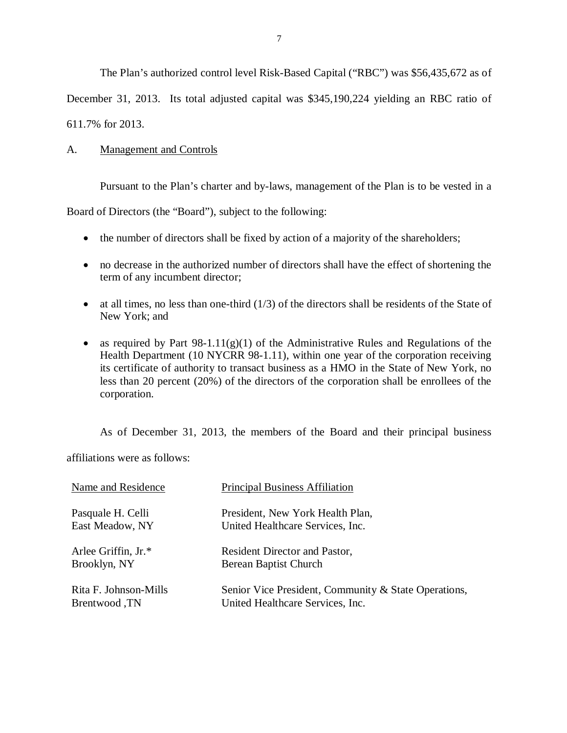The Plan's authorized control level Risk-Based Capital ("RBC") was \$56,435,672 as of

<span id="page-8-0"></span>December 31, 2013. Its total adjusted capital was \$345,190,224 yielding an RBC ratio of

611.7% for 2013.

#### $A_{\cdot}$ **Management and Controls**

Pursuant to the Plan's charter and by-laws, management of the Plan is to be vested in a

Board of Directors (the "Board"), subject to the following:

- the number of directors shall be fixed by action of a majority of the shareholders;
- no decrease in the authorized number of directors shall have the effect of shortening the term of any incumbent director;
- $\bullet$  at all times, no less than one-third (1/3) of the directors shall be residents of the State of New York; and
- as required by Part  $98-1.11(g)(1)$  of the Administrative Rules and Regulations of the Health Department (10 NYCRR 98-1.11), within one year of the corporation receiving its certificate of authority to transact business as a HMO in the State of New York, no less than 20 percent (20%) of the directors of the corporation shall be enrollees of the corporation.

As of December 31, 2013, the members of the Board and their principal business

affiliations were as follows:

| Name and Residence    | <b>Principal Business Affiliation</b>                |
|-----------------------|------------------------------------------------------|
| Pasquale H. Celli     | President, New York Health Plan,                     |
| East Meadow, NY       | United Healthcare Services, Inc.                     |
| Arlee Griffin, Jr.*   | Resident Director and Pastor,                        |
| Brooklyn, NY          | Berean Baptist Church                                |
| Rita F. Johnson-Mills | Senior Vice President, Community & State Operations, |
| Brentwood, TN         | United Healthcare Services, Inc.                     |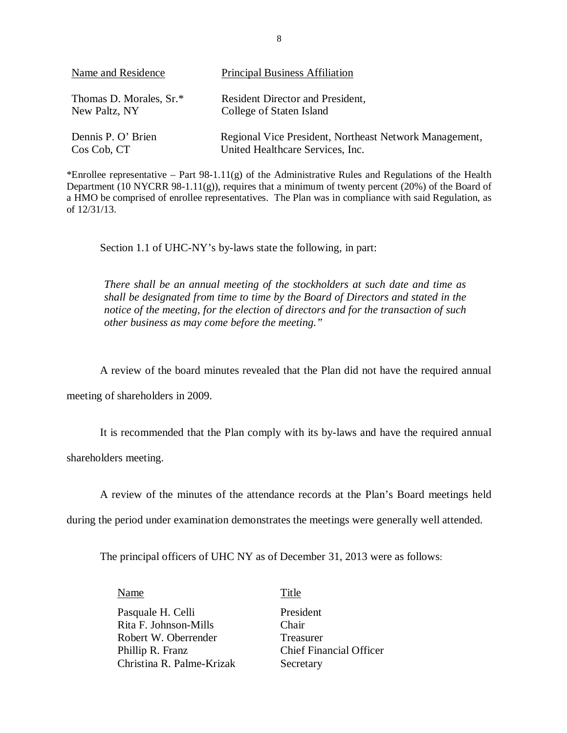| Name and Residence      | <b>Principal Business Affiliation</b>                  |
|-------------------------|--------------------------------------------------------|
| Thomas D. Morales, Sr.* | Resident Director and President,                       |
| New Paltz, NY           | College of Staten Island                               |
| Dennis P. O' Brien      | Regional Vice President, Northeast Network Management, |
| Cos Cob, CT             | United Healthcare Services, Inc.                       |

 \*Enrollee representative – Part 98-1.11(g) of the Administrative Rules and Regulations of the Health Department (10 NYCRR 98-1.11(g)), requires that a minimum of twenty percent (20%) of the Board of a HMO be comprised of enrollee representatives. The Plan was in compliance with said Regulation, as of 12/31/13.

Section 1.1 of UHC-NY's by-laws state the following, in part:

 *There shall be an annual meeting of the stockholders at such date and time as shall be designated from time to time by the Board of Directors and stated in the notice of the meeting, for the election of directors and for the transaction of such other business as may come before the meeting."* 

A review of the board minutes revealed that the Plan did not have the required annual

meeting of shareholders in 2009.

 It is recommended that the Plan comply with its by-laws and have the required annual shareholders meeting.

A review of the minutes of the attendance records at the Plan's Board meetings held

during the period under examination demonstrates the meetings were generally well attended.

The principal officers of UHC NY as of December 31, 2013 were as follows:

Name Title

Pasquale H. Celli President Rita F. Johnson-Mills Chair Robert W. Oberrender Treasurer Phillip R. Franz Christina R. Palme-Krizak Secretary

**Chief Financial Officer**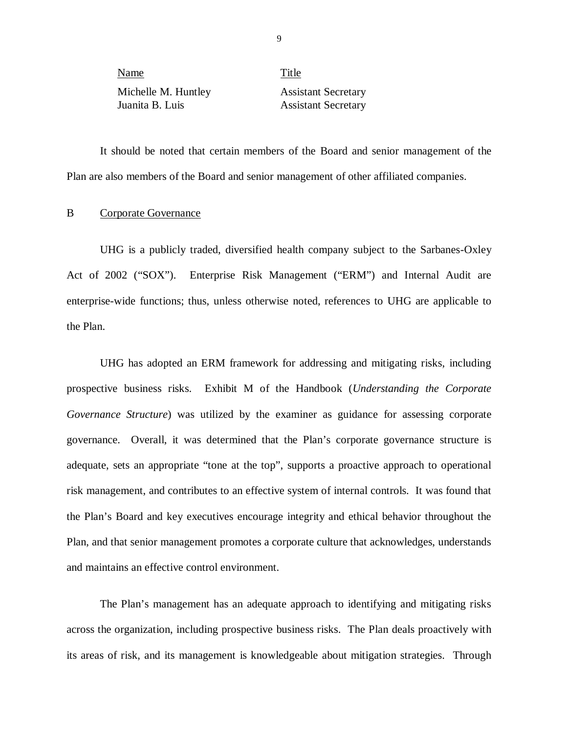| Name                |  |
|---------------------|--|
| Michelle M. Huntley |  |
| Inanita B Luis      |  |

Title **Assistant Secretary Assistant Secretary** 

 Plan are also members of the Board and senior management of other affiliated companies. It should be noted that certain members of the Board and senior management of the

# B Corporate Governance

 UHG is a publicly traded, diversified health company subject to the Sarbanes-Oxley Act of 2002 ("SOX"). Enterprise Risk Management ("ERM") and Internal Audit are enterprise-wide functions; thus, unless otherwise noted, references to UHG are applicable to the Plan.

 UHG has adopted an ERM framework for addressing and mitigating risks, including prospective business risks. Exhibit M of the Handbook (*Understanding the Corporate Governance Structure*) was utilized by the examiner as guidance for assessing corporate governance. Overall, it was determined that the Plan's corporate governance structure is adequate, sets an appropriate "tone at the top", supports a proactive approach to operational risk management, and contributes to an effective system of internal controls. It was found that the Plan's Board and key executives encourage integrity and ethical behavior throughout the Plan, and that senior management promotes a corporate culture that acknowledges, understands and maintains an effective control environment.

 The Plan's management has an adequate approach to identifying and mitigating risks across the organization, including prospective business risks. The Plan deals proactively with its areas of risk, and its management is knowledgeable about mitigation strategies. Through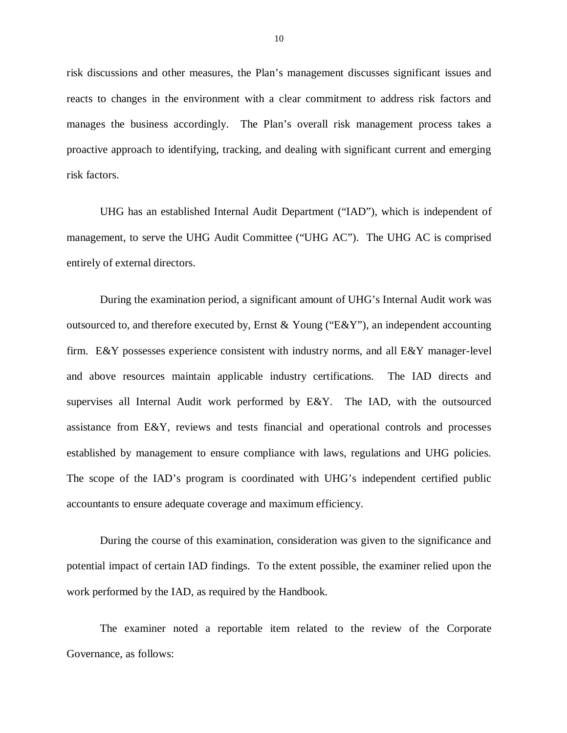risk discussions and other measures, the Plan's management discusses significant issues and reacts to changes in the environment with a clear commitment to address risk factors and manages the business accordingly. The Plan's overall risk management process takes a proactive approach to identifying, tracking, and dealing with significant current and emerging risk factors.

 risk factors. UHG has an established Internal Audit Department ("IAD"), which is independent of management, to serve the UHG Audit Committee ("UHG AC"). The UHG AC is comprised entirely of external directors.

 During the examination period, a significant amount of UHG's Internal Audit work was outsourced to, and therefore executed by, Ernst & Young ("E&Y"), an independent accounting firm. E&Y possesses experience consistent with industry norms, and all E&Y manager-level and above resources maintain applicable industry certifications. The IAD directs and supervises all Internal Audit work performed by E&Y. The IAD, with the outsourced assistance from E&Y, reviews and tests financial and operational controls and processes established by management to ensure compliance with laws, regulations and UHG policies. The scope of the IAD's program is coordinated with UHG's independent certified public accountants to ensure adequate coverage and maximum efficiency.

 During the course of this examination, consideration was given to the significance and potential impact of certain IAD findings. To the extent possible, the examiner relied upon the work performed by the IAD, as required by the Handbook.

 The examiner noted a reportable item related to the review of the Corporate Governance, as follows: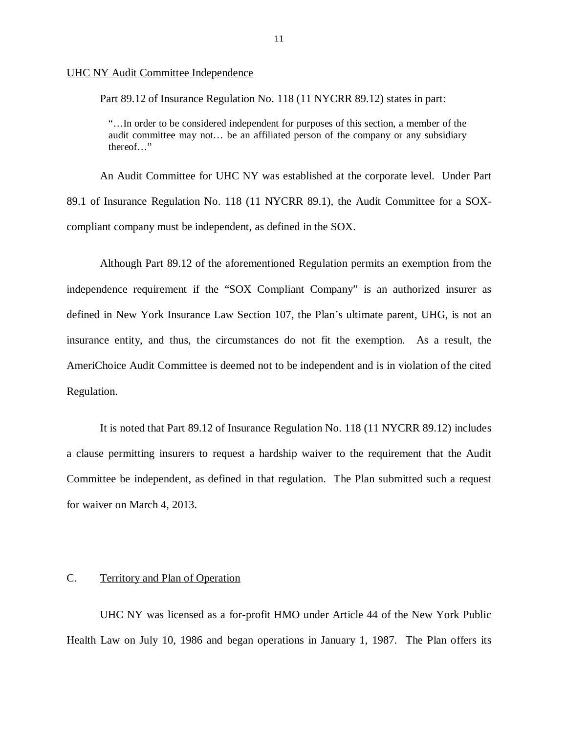# UHC NY Audit Committee Independence

Part 89.12 of Insurance Regulation No. 118 (11 NYCRR 89.12) states in part:

 "…In order to be considered independent for purposes of this section, a member of the audit committee may not… be an affiliated person of the company or any subsidiary thereof…"

 An Audit Committee for UHC NY was established at the corporate level. Under Part 89.1 of Insurance Regulation No. 118 (11 NYCRR 89.1), the Audit Committee for a SOX-compliant company must be independent, as defined in the SOX.

 Although Part 89.12 of the aforementioned Regulation permits an exemption from the independence requirement if the "SOX Compliant Company" is an authorized insurer as defined in New York Insurance Law Section 107, the Plan's ultimate parent, UHG, is not an insurance entity, and thus, the circumstances do not fit the exemption. As a result, the AmeriChoice Audit Committee is deemed not to be independent and is in violation of the cited Regulation.

 a clause permitting insurers to request a hardship waiver to the requirement that the Audit Committee be independent, as defined in that regulation. The Plan submitted such a request for waiver on March 4, 2013. It is noted that Part 89.12 of Insurance Regulation No. 118 (11 NYCRR 89.12) includes

#### $C_{\cdot}$ Territory and Plan of Operation

 Health Law on July 10, 1986 and began operations in January 1, 1987. The Plan offers its UHC NY was licensed as a for-profit HMO under Article 44 of the New York Public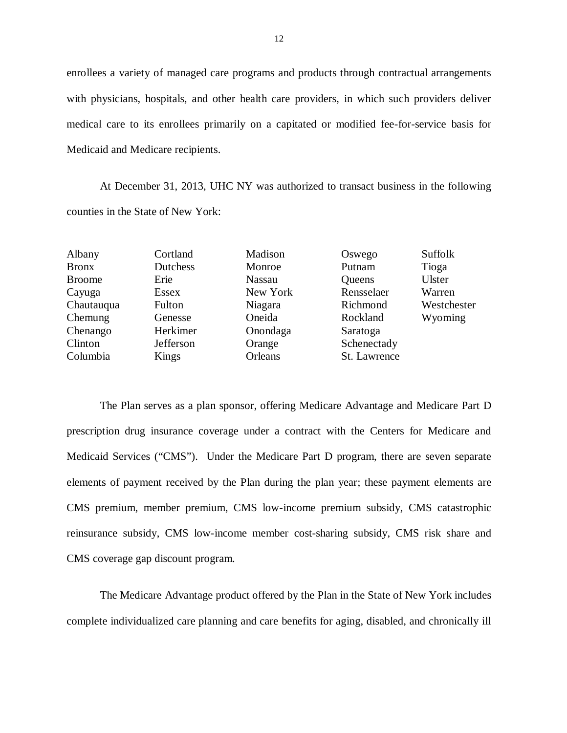enrollees a variety of managed care programs and products through contractual arrangements with physicians, hospitals, and other health care providers, in which such providers deliver medical care to its enrollees primarily on a capitated or modified fee-for-service basis for Medicaid and Medicare recipients.

 At December 31, 2013, UHC NY was authorized to transact business in the following counties in the State of New York:

Chenango Herkimer Onondaga Saratoga Clinton Jefferson Orange Schenectady Columbia Kings Orleans St. Lawrence

Saratoga Schenectady St. Lawrence Albany Cortland Madison Oswego Suffolk Bronx Dutchess Monroe Putnam Tioga Broome Erie Nassau Queens Ulster Cayuga Essex New York Rensselaer Warren Chautauqua Fulton Niagara Richmond Westchester Chemung Genesse Oneida Rockland Wyoming

 The Plan serves as a plan sponsor, offering Medicare Advantage and Medicare Part D prescription drug insurance coverage under a contract with the Centers for Medicare and Medicaid Services ("CMS"). Under the Medicare Part D program, there are seven separate elements of payment received by the Plan during the plan year; these payment elements are CMS premium, member premium, CMS low-income premium subsidy, CMS catastrophic reinsurance subsidy, CMS low-income member cost-sharing subsidy, CMS risk share and CMS coverage gap discount program.

 The Medicare Advantage product offered by the Plan in the State of New York includes complete individualized care planning and care benefits for aging, disabled, and chronically ill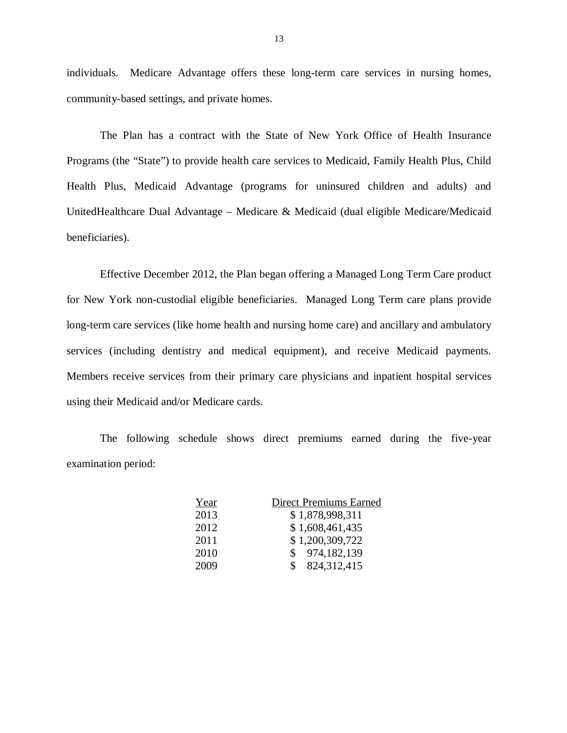individuals. Medicare Advantage offers these long-term care services in nursing homes, community-based settings, and private homes.

 The Plan has a contract with the State of New York Office of Health Insurance Programs (the "State") to provide health care services to Medicaid, Family Health Plus, Child Health Plus, Medicaid Advantage (programs for uninsured children and adults) and UnitedHealthcare Dual Advantage – Medicare & Medicaid (dual eligible Medicare/Medicaid beneficiaries).

beneficiaries).<br>Effective December 2012, the Plan began offering a Managed Long Term Care product for New York non-custodial eligible beneficiaries. Managed Long Term care plans provide long-term care services (like home health and nursing home care) and ancillary and ambulatory services (including dentistry and medical equipment), and receive Medicaid payments. Members receive services from their primary care physicians and inpatient hospital services using their Medicaid and/or Medicare cards.

 The following schedule shows direct premiums earned during the five-year examination period:

| Year | <b>Direct Premiums Earned</b> |
|------|-------------------------------|
| 2013 | \$1,878,998,311               |
| 2012 | \$1,608,461,435               |
| 2011 | \$1,200,309,722               |
| 2010 | \$974,182,139                 |
| 2009 | 824, 312, 415<br>S.           |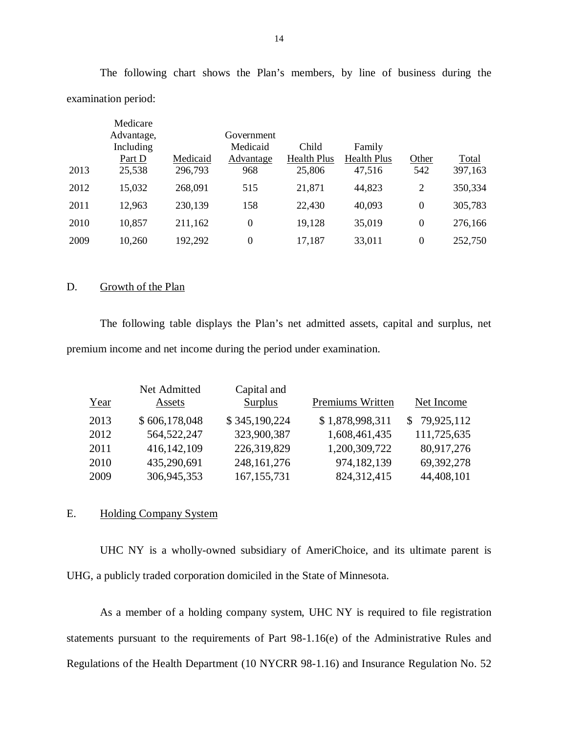|      | Medicare<br>Advantage,<br>Including<br>Part D | Medicaid | Government<br>Medicaid<br>Advantage | Child<br><b>Health Plus</b> | Family<br><b>Health Plus</b> | Other    | Total   |
|------|-----------------------------------------------|----------|-------------------------------------|-----------------------------|------------------------------|----------|---------|
| 2013 | 25,538                                        | 296,793  | 968                                 | 25,806                      | 47,516                       | 542      | 397,163 |
| 2012 | 15,032                                        | 268,091  | 515                                 | 21,871                      | 44,823                       | 2        | 350,334 |
| 2011 | 12,963                                        | 230,139  | 158                                 | 22,430                      | 40,093                       | $\theta$ | 305,783 |
| 2010 | 10,857                                        | 211,162  | $\boldsymbol{0}$                    | 19,128                      | 35,019                       | $\theta$ | 276,166 |
| 2009 | 10,260                                        | 192,292  | $\boldsymbol{0}$                    | 17,187                      | 33,011                       | $\theta$ | 252,750 |

 The following chart shows the Plan's members, by line of business during the examination period:

#### D. Growth of the Plan

 premium income and net income during the period under examination. The following table displays the Plan's net admitted assets, capital and surplus, net

|      | Net Admitted  | Capital and    |                  |              |
|------|---------------|----------------|------------------|--------------|
| Year | Assets        | <b>Surplus</b> | Premiums Written | Net Income   |
| 2013 | \$606,178,048 | \$345,190,224  | \$1,878,998,311  | \$79,925,112 |
| 2012 | 564,522,247   | 323,900,387    | 1,608,461,435    | 111,725,635  |
| 2011 | 416,142,109   | 226,319,829    | 1,200,309,722    | 80,917,276   |
| 2010 | 435,290,691   | 248, 161, 276  | 974, 182, 139    | 69,392,278   |
| 2009 | 306,945,353   | 167, 155, 731  | 824,312,415      | 44,408,101   |

# E. Holding Company System

 UHG, a publicly traded corporation domiciled in the State of Minnesota. UHC NY is a wholly-owned subsidiary of AmeriChoice, and its ultimate parent is

 statements pursuant to the requirements of Part 98-1.16(e) of the Administrative Rules and Regulations of the Health Department (10 NYCRR 98-1.16) and Insurance Regulation No. 52 As a member of a holding company system, UHC NY is required to file registration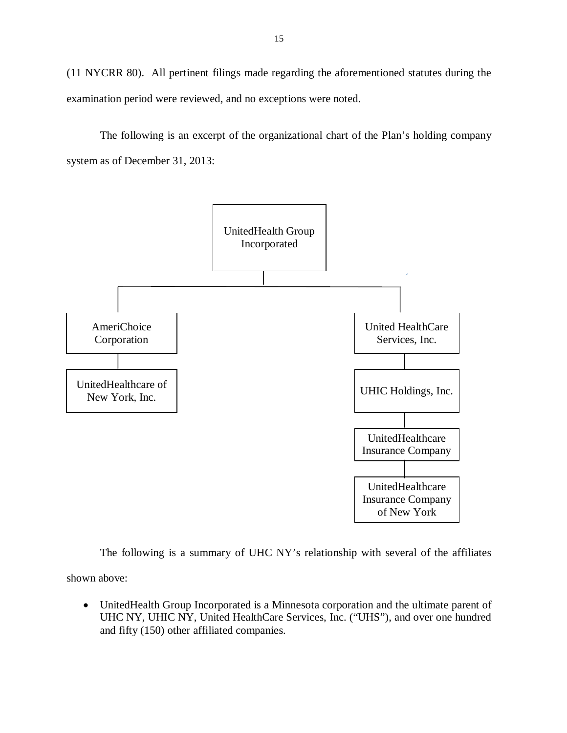<span id="page-16-0"></span> (11 NYCRR 80). All pertinent filings made regarding the aforementioned statutes during the examination period were reviewed, and no exceptions were noted.

 system as of December 31, 2013: The following is an excerpt of the organizational chart of the Plan's holding company



The following is a summary of UHC NY's relationship with several of the affiliates

shown above:

 UnitedHealth Group Incorporated is a Minnesota corporation and the ultimate parent of UHC NY, UHIC NY, United HealthCare Services, Inc. ("UHS"), and over one hundred and fifty (150) other affiliated companies.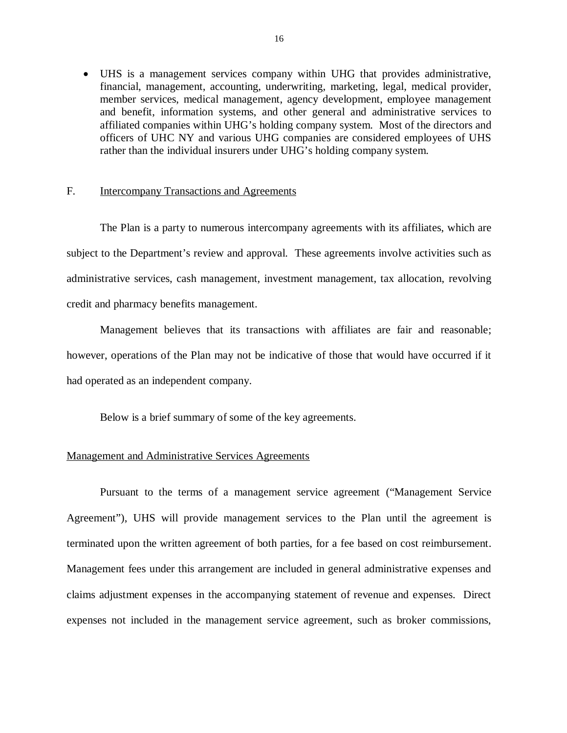<span id="page-17-0"></span> UHS is a management services company within UHG that provides administrative, financial, management, accounting, underwriting, marketing, legal, medical provider, member services, medical management, agency development, employee management and benefit, information systems, and other general and administrative services to affiliated companies within UHG's holding company system. Most of the directors and officers of UHC NY and various UHG companies are considered employees of UHS rather than the individual insurers under UHG's holding company system.

# F. Intercompany Transactions and Agreements

 subject to the Department's review and approval. These agreements involve activities such as administrative services, cash management, investment management, tax allocation, revolving credit and pharmacy benefits management. The Plan is a party to numerous intercompany agreements with its affiliates, which are

 Management believes that its transactions with affiliates are fair and reasonable; however, operations of the Plan may not be indicative of those that would have occurred if it had operated as an independent company.

Below is a brief summary of some of the key agreements.

# **Management and Administrative Services Agreements**

 Pursuant to the terms of a management service agreement ("Management Service Agreement"), UHS will provide management services to the Plan until the agreement is terminated upon the written agreement of both parties, for a fee based on cost reimbursement. Management fees under this arrangement are included in general administrative expenses and claims adjustment expenses in the accompanying statement of revenue and expenses. Direct expenses not included in the management service agreement, such as broker commissions,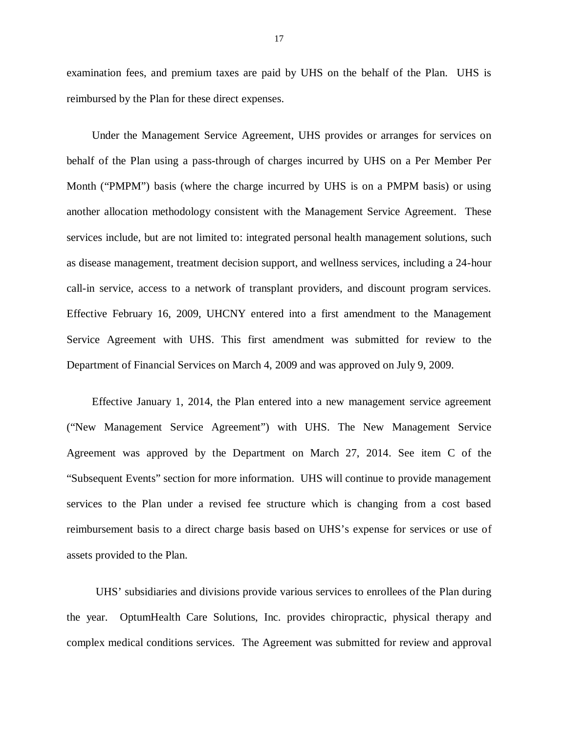examination fees, and premium taxes are paid by UHS on the behalf of the Plan. UHS is reimbursed by the Plan for these direct expenses.

 Under the Management Service Agreement, UHS provides or arranges for services on behalf of the Plan using a pass-through of charges incurred by UHS on a Per Member Per Month ("PMPM") basis (where the charge incurred by UHS is on a PMPM basis) or using another allocation methodology consistent with the Management Service Agreement. These services include, but are not limited to: integrated personal health management solutions, such as disease management, treatment decision support, and wellness services, including a 24-hour call-in service, access to a network of transplant providers, and discount program services. Effective February 16, 2009, UHCNY entered into a first amendment to the Management Service Agreement with UHS. This first amendment was submitted for review to the Department of Financial Services on March 4, 2009 and was approved on July 9, 2009.

 Effective January 1, 2014, the Plan entered into a new management service agreement ("New Management Service Agreement") with UHS. The New Management Service Agreement was approved by the Department on March 27, 2014. See item C of the "Subsequent Events" section for more information. UHS will continue to provide management services to the Plan under a revised fee structure which is changing from a cost based reimbursement basis to a direct charge basis based on UHS's expense for services or use of assets provided to the Plan.

 UHS' subsidiaries and divisions provide various services to enrollees of the Plan during the year. OptumHealth Care Solutions, Inc. provides chiropractic, physical therapy and complex medical conditions services. The Agreement was submitted for review and approval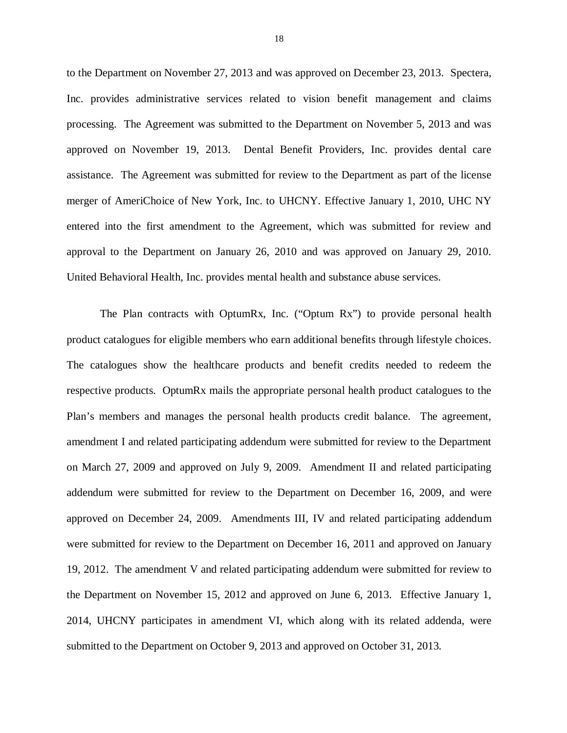to the Department on November 27, 2013 and was approved on December 23, 2013. Spectera, Inc. provides administrative services related to vision benefit management and claims processing. The Agreement was submitted to the Department on November 5, 2013 and was approved on November 19, 2013. Dental Benefit Providers, Inc. provides dental care assistance. The Agreement was submitted for review to the Department as part of the license merger of AmeriChoice of New York, Inc. to UHCNY. Effective January 1, 2010, UHC NY entered into the first amendment to the Agreement, which was submitted for review and approval to the Department on January 26, 2010 and was approved on January 29, 2010. United Behavioral Health, Inc. provides mental health and substance abuse services.

 The Plan contracts with OptumRx, Inc. ("Optum Rx") to provide personal health product catalogues for eligible members who earn additional benefits through lifestyle choices. The catalogues show the healthcare products and benefit credits needed to redeem the respective products. OptumRx mails the appropriate personal health product catalogues to the Plan's members and manages the personal health products credit balance. The agreement, amendment I and related participating addendum were submitted for review to the Department on March 27, 2009 and approved on July 9, 2009. Amendment II and related participating addendum were submitted for review to the Department on December 16, 2009, and were approved on December 24, 2009. Amendments III, IV and related participating addendum were submitted for review to the Department on December 16, 2011 and approved on January 19, 2012. The amendment V and related participating addendum were submitted for review to the Department on November 15, 2012 and approved on June 6, 2013. Effective January 1, 2014, UHCNY participates in amendment VI, which along with its related addenda, were submitted to the Department on October 9, 2013 and approved on October 31, 2013.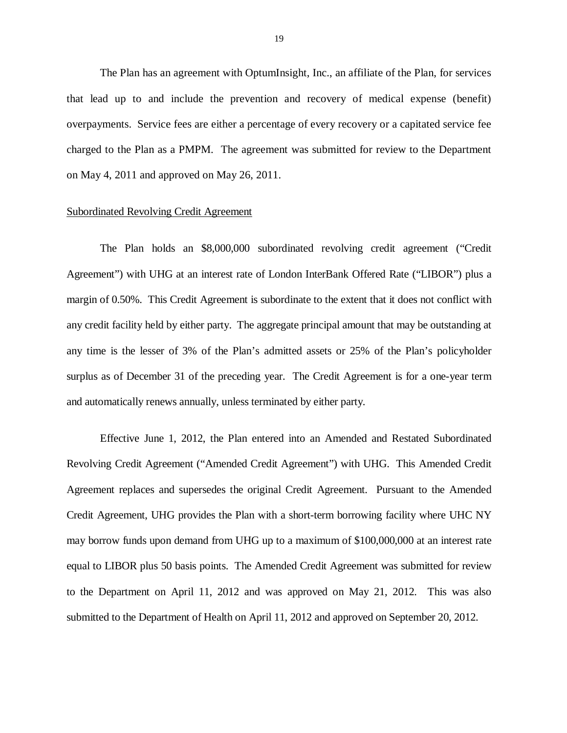The Plan has an agreement with OptumInsight, Inc., an affiliate of the Plan, for services that lead up to and include the prevention and recovery of medical expense (benefit) overpayments. Service fees are either a percentage of every recovery or a capitated service fee charged to the Plan as a PMPM. The agreement was submitted for review to the Department on May 4, 2011 and approved on May 26, 2011.

# **Subordinated Revolving Credit Agreement**

 The Plan holds an \$8,000,000 subordinated revolving credit agreement ("Credit Agreement") with UHG at an interest rate of London InterBank Offered Rate ("LIBOR") plus a margin of 0.50%. This Credit Agreement is subordinate to the extent that it does not conflict with any credit facility held by either party. The aggregate principal amount that may be outstanding at surplus as of December 31 of the preceding year. The Credit Agreement is for a one-year term and automatically renews annually, unless terminated by either party. any time is the lesser of 3% of the Plan's admitted assets or 25% of the Plan's policyholder

 Effective June 1, 2012, the Plan entered into an Amended and Restated Subordinated Revolving Credit Agreement ("Amended Credit Agreement") with UHG. This Amended Credit Agreement replaces and supersedes the original Credit Agreement. Pursuant to the Amended Credit Agreement, UHG provides the Plan with a short-term borrowing facility where UHC NY may borrow funds upon demand from UHG up to a maximum of \$100,000,000 at an interest rate equal to LIBOR plus 50 basis points. The Amended Credit Agreement was submitted for review to the Department on April 11, 2012 and was approved on May 21, 2012. This was also submitted to the Department of Health on April 11, 2012 and approved on September 20, 2012.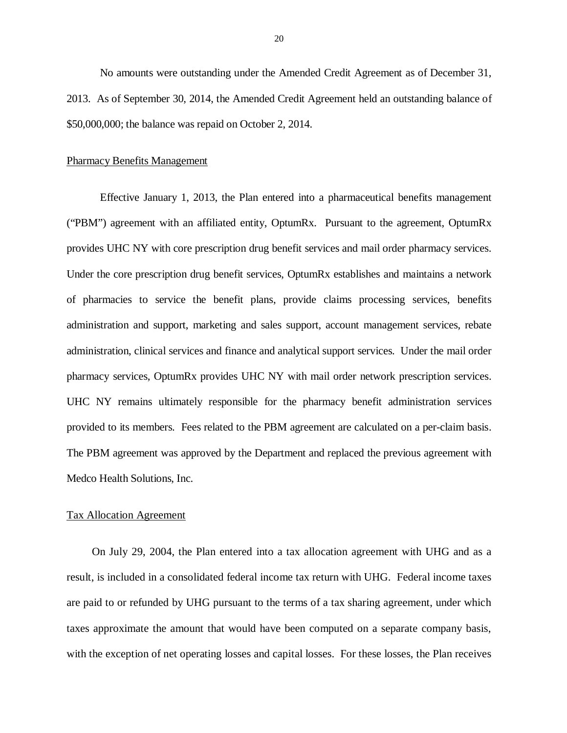No amounts were outstanding under the Amended Credit Agreement as of December 31, 2013. As of September 30, 2014, the Amended Credit Agreement held an outstanding balance of \$50,000,000; the balance was repaid on October 2, 2014.

# **Pharmacy Benefits Management**

 ("PBM") agreement with an affiliated entity, OptumRx. Pursuant to the agreement, OptumRx provides UHC NY with core prescription drug benefit services and mail order pharmacy services. Under the core prescription drug benefit services, OptumRx establishes and maintains a network of pharmacies to service the benefit plans, provide claims processing services, benefits administration and support, marketing and sales support, account management services, rebate administration, clinical services and finance and analytical support services. Under the mail order pharmacy services, OptumRx provides UHC NY with mail order network prescription services. UHC NY remains ultimately responsible for the pharmacy benefit administration services provided to its members. Fees related to the PBM agreement are calculated on a per-claim basis. The PBM agreement was approved by the Department and replaced the previous agreement with Medco Health Solutions, Inc. Effective January 1, 2013, the Plan entered into a pharmaceutical benefits management

# Tax Allocation Agreement

 On July 29, 2004, the Plan entered into a tax allocation agreement with UHG and as a result, is included in a consolidated federal income tax return with UHG. Federal income taxes are paid to or refunded by UHG pursuant to the terms of a tax sharing agreement, under which taxes approximate the amount that would have been computed on a separate company basis, with the exception of net operating losses and capital losses. For these losses, the Plan receives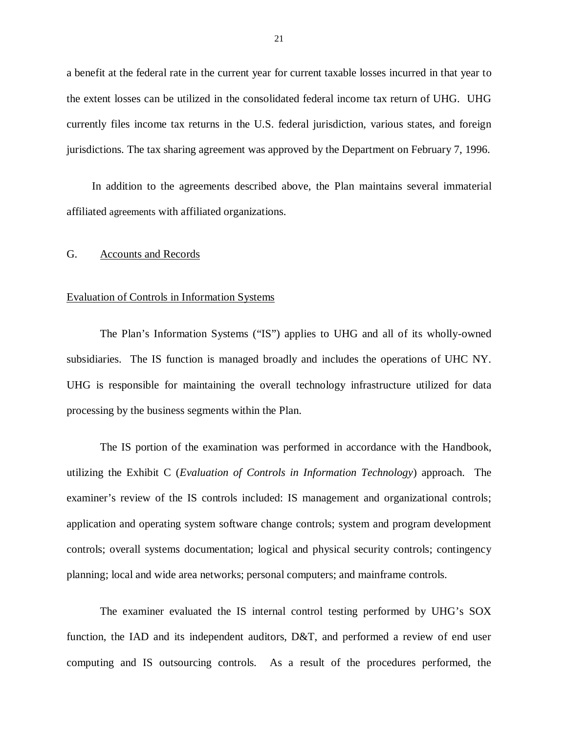<span id="page-22-0"></span> a benefit at the federal rate in the current year for current taxable losses incurred in that year to the extent losses can be utilized in the consolidated federal income tax return of UHG. UHG currently files income tax returns in the U.S. federal jurisdiction, various states, and foreign jurisdictions. The tax sharing agreement was approved by the Department on February 7, 1996.

 In addition to the agreements described above, the Plan maintains several immaterial affiliated agreements with affiliated organizations.

# G. Accounts and Records

# Evaluation of Controls in Information Systems

 subsidiaries. The IS function is managed broadly and includes the operations of UHC NY. UHG is responsible for maintaining the overall technology infrastructure utilized for data processing by the business segments within the Plan. The Plan's Information Systems ("IS") applies to UHG and all of its wholly-owned

 utilizing the Exhibit C (*Evaluation of Controls in Information Technology*) approach. The examiner's review of the IS controls included: IS management and organizational controls; application and operating system software change controls; system and program development controls; overall systems documentation; logical and physical security controls; contingency planning; local and wide area networks; personal computers; and mainframe controls. The IS portion of the examination was performed in accordance with the Handbook,

 function, the IAD and its independent auditors, D&T, and performed a review of end user computing and IS outsourcing controls. As a result of the procedures performed, the The examiner evaluated the IS internal control testing performed by UHG's SOX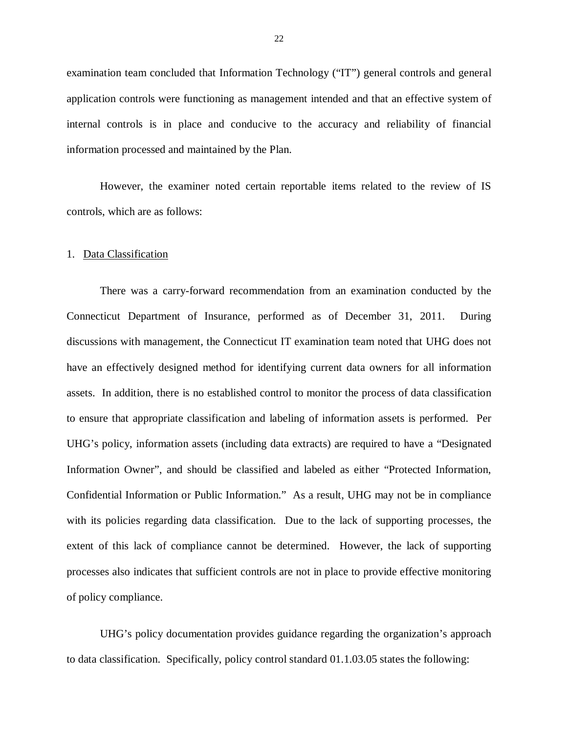examination team concluded that Information Technology ("IT") general controls and general application controls were functioning as management intended and that an effective system of internal controls is in place and conducive to the accuracy and reliability of financial information processed and maintained by the Plan.

 However, the examiner noted certain reportable items related to the review of IS controls, which are as follows:

### 1. Data Classification

 There was a carry-forward recommendation from an examination conducted by the Connecticut Department of Insurance, performed as of December 31, 2011. During discussions with management, the Connecticut IT examination team noted that UHG does not have an effectively designed method for identifying current data owners for all information assets. In addition, there is no established control to monitor the process of data classification to ensure that appropriate classification and labeling of information assets is performed. Per UHG's policy, information assets (including data extracts) are required to have a "Designated Information Owner", and should be classified and labeled as either "Protected Information, Confidential Information or Public Information." As a result, UHG may not be in compliance with its policies regarding data classification. Due to the lack of supporting processes, the extent of this lack of compliance cannot be determined. However, the lack of supporting processes also indicates that sufficient controls are not in place to provide effective monitoring of policy compliance.

 UHG's policy documentation provides guidance regarding the organization's approach to data classification. Specifically, policy control standard [01.1.03.05](https://01.1.03.05) states the following: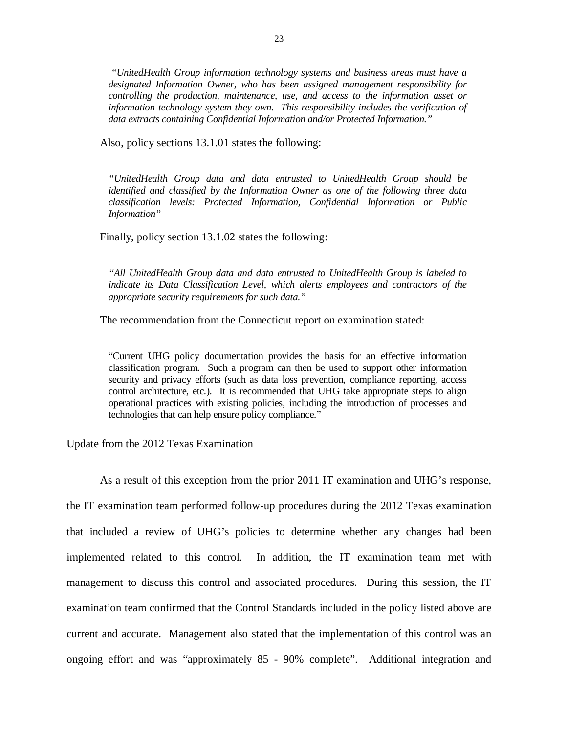*"UnitedHealth Group information technology systems and business areas must have a designated Information Owner, who has been assigned management responsibility for controlling the production, maintenance, use, and access to the information asset or information technology system they own. This responsibility includes the verification of data extracts containing Confidential Information and/or Protected Information."* 

Also, policy sections 13.1.01 states the following:

 *"UnitedHealth Group data and data entrusted to UnitedHealth Group should be identified and classified by the Information Owner as one of the following three data classification levels: Protected Information, Confidential Information or Public Information"* 

Finally, policy section 13.1.02 states the following:

 *"All UnitedHealth Group data and data entrusted to UnitedHealth Group is labeled to indicate its Data Classification Level, which alerts employees and contractors of the appropriate security requirements for such data."* 

The recommendation from the Connecticut report on examination stated:

 "Current UHG policy documentation provides the basis for an effective information classification program. Such a program can then be used to support other information security and privacy efforts (such as data loss prevention, compliance reporting, access control architecture, etc.). It is recommended that UHG take appropriate steps to align operational practices with existing policies, including the introduction of processes and technologies that can help ensure policy compliance."

# Update from the 2012 Texas Examination

As a result of this exception from the prior 2011 IT examination and UHG's response,

 the IT examination team performed follow-up procedures during the 2012 Texas examination that included a review of UHG's policies to determine whether any changes had been implemented related to this control. In addition, the IT examination team met with management to discuss this control and associated procedures. During this session, the IT examination team confirmed that the Control Standards included in the policy listed above are current and accurate. Management also stated that the implementation of this control was an ongoing effort and was "approximately 85 - 90% complete". Additional integration and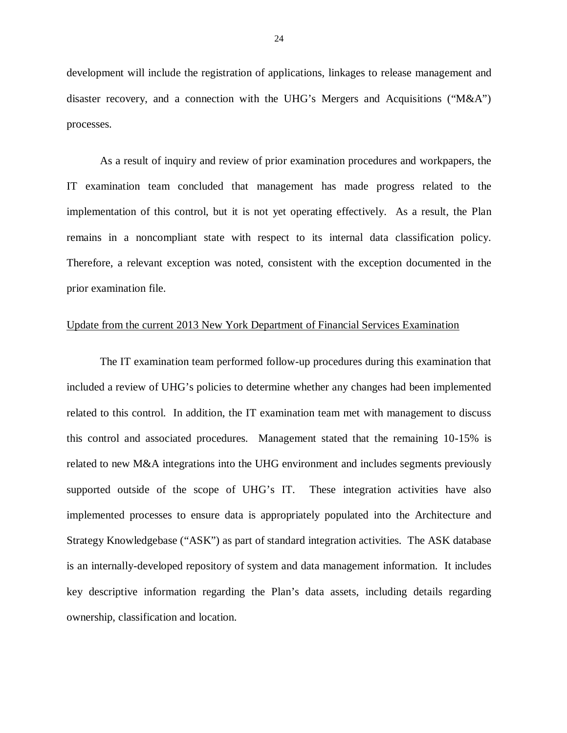development will include the registration of applications, linkages to release management and disaster recovery, and a connection with the UHG's Mergers and Acquisitions ("M&A") processes.

 IT examination team concluded that management has made progress related to the implementation of this control, but it is not yet operating effectively. As a result, the Plan remains in a noncompliant state with respect to its internal data classification policy. Therefore, a relevant exception was noted, consistent with the exception documented in the prior examination file. As a result of inquiry and review of prior examination procedures and workpapers, the

# Update from the current 2013 New York Department of Financial Services Examination

 included a review of UHG's policies to determine whether any changes had been implemented related to this control. In addition, the IT examination team met with management to discuss this control and associated procedures. Management stated that the remaining 10-15% is related to new M&A integrations into the UHG environment and includes segments previously supported outside of the scope of UHG's IT. These integration activities have also implemented processes to ensure data is appropriately populated into the Architecture and Strategy Knowledgebase ("ASK") as part of standard integration activities. The ASK database is an internally-developed repository of system and data management information. It includes key descriptive information regarding the Plan's data assets, including details regarding The IT examination team performed follow-up procedures during this examination that ownership, classification and location.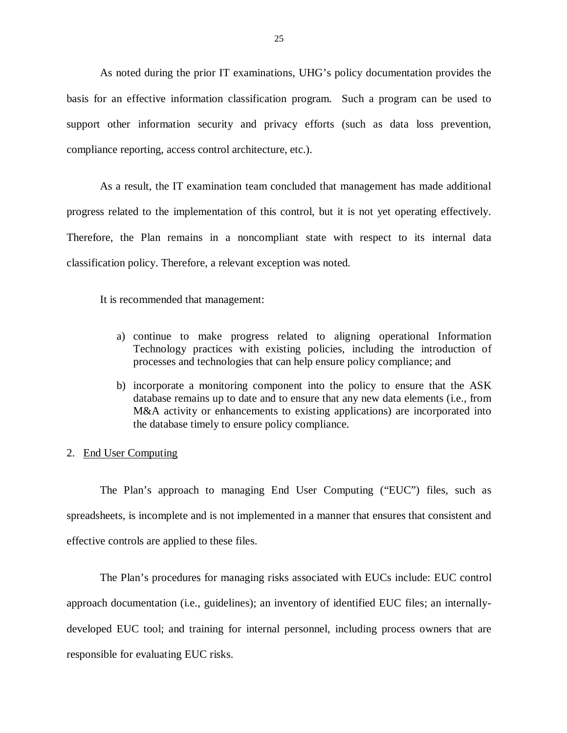basis for an effective information classification program. Such a program can be used to support other information security and privacy efforts (such as data loss prevention, compliance reporting, access control architecture, etc.). As noted during the prior IT examinations, UHG's policy documentation provides the

 progress related to the implementation of this control, but it is not yet operating effectively. Therefore, the Plan remains in a noncompliant state with respect to its internal data classification policy. Therefore, a relevant exception was noted. As a result, the IT examination team concluded that management has made additional

It is recommended that management:

- a) continue to make progress related to aligning operational Information Technology practices with existing policies, including the introduction of processes and technologies that can help ensure policy compliance; and
- b) incorporate a monitoring component into the policy to ensure that the ASK database remains up to date and to ensure that any new data elements (i.e., from M&A activity or enhancements to existing applications) are incorporated into the database timely to ensure policy compliance.

# 2. End User Computing

 spreadsheets, is incomplete and is not implemented in a manner that ensures that consistent and effective controls are applied to these files. The Plan's approach to managing End User Computing ("EUC") files, such as

 approach documentation (i.e., guidelines); an inventory of identified EUC files; an internally- developed EUC tool; and training for internal personnel, including process owners that are responsible for evaluating EUC risks. The Plan's procedures for managing risks associated with EUCs include: EUC control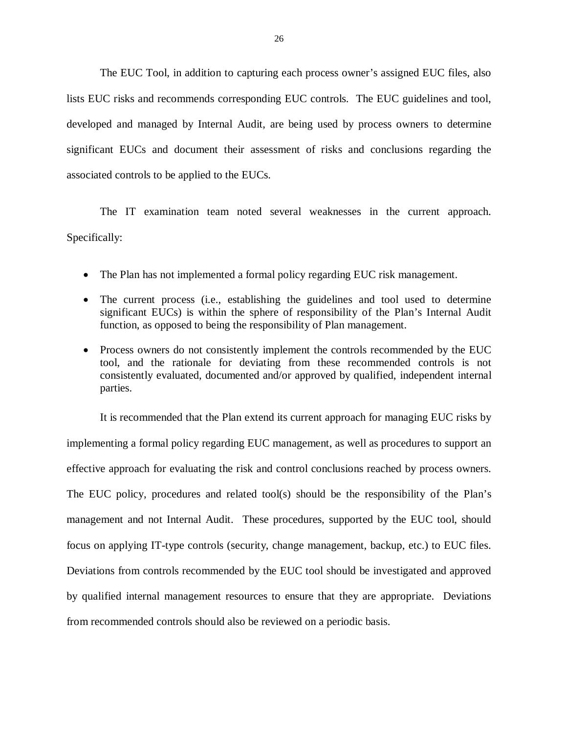lists EUC risks and recommends corresponding EUC controls. The EUC guidelines and tool, developed and managed by Internal Audit, are being used by process owners to determine significant EUCs and document their assessment of risks and conclusions regarding the associated controls to be applied to the EUCs. The EUC Tool, in addition to capturing each process owner's assigned EUC files, also

The IT examination team noted several weaknesses in the current approach. Specifically:

- The Plan has not implemented a formal policy regarding EUC risk management.
- The current process (i.e., establishing the guidelines and tool used to determine significant EUCs) is within the sphere of responsibility of the Plan's Internal Audit function, as opposed to being the responsibility of Plan management.
- Process owners do not consistently implement the controls recommended by the EUC tool, and the rationale for deviating from these recommended controls is not consistently evaluated, documented and/or approved by qualified, independent internal parties.

 implementing a formal policy regarding EUC management, as well as procedures to support an effective approach for evaluating the risk and control conclusions reached by process owners. The EUC policy, procedures and related tool(s) should be the responsibility of the Plan's management and not Internal Audit. These procedures, supported by the EUC tool, should focus on applying IT-type controls (security, change management, backup, etc.) to EUC files. Deviations from controls recommended by the EUC tool should be investigated and approved by qualified internal management resources to ensure that they are appropriate. Deviations from recommended controls should also be reviewed on a periodic basis. It is recommended that the Plan extend its current approach for managing EUC risks by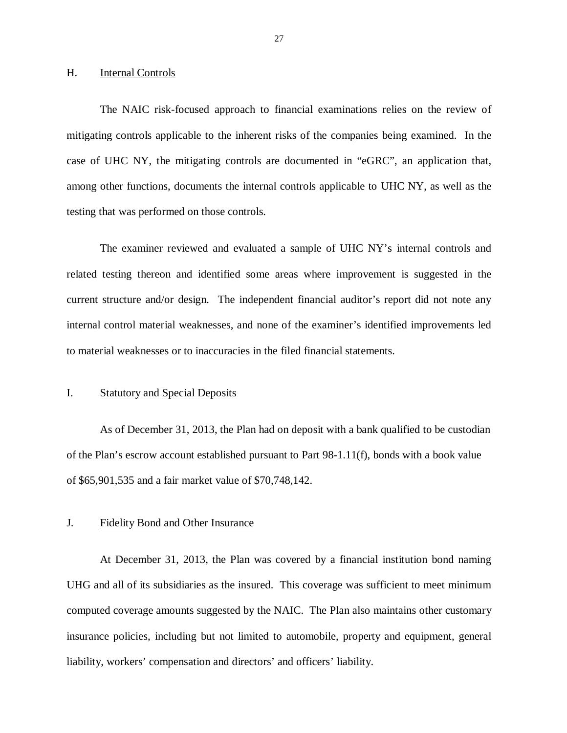#### <span id="page-28-0"></span>H. **Internal Controls**

 mitigating controls applicable to the inherent risks of the companies being examined. In the case of UHC NY, the mitigating controls are documented in "eGRC", an application that, among other functions, documents the internal controls applicable to UHC NY, as well as the testing that was performed on those controls. The NAIC risk-focused approach to financial examinations relies on the review of

 related testing thereon and identified some areas where improvement is suggested in the current structure and/or design. The independent financial auditor's report did not note any internal control material weaknesses, and none of the examiner's identified improvements led to material weaknesses or to inaccuracies in the filed financial statements. The examiner reviewed and evaluated a sample of UHC NY's internal controls and

#### $\mathbf{I}$ . **Statutory and Special Deposits**

 As of December 31, 2013, the Plan had on deposit with a bank qualified to be custodian of the Plan's escrow account established pursuant to Part 98-1.11(f), bonds with a book value of \$65,901,535 and a fair market value of \$70,748,142.

#### $\mathbf{L}$ Fidelity Bond and Other Insurance

 At December 31, 2013, the Plan was covered by a financial institution bond naming UHG and all of its subsidiaries as the insured. This coverage was sufficient to meet minimum computed coverage amounts suggested by the NAIC. The Plan also maintains other customary insurance policies, including but not limited to automobile, property and equipment, general liability, workers' compensation and directors' and officers' liability.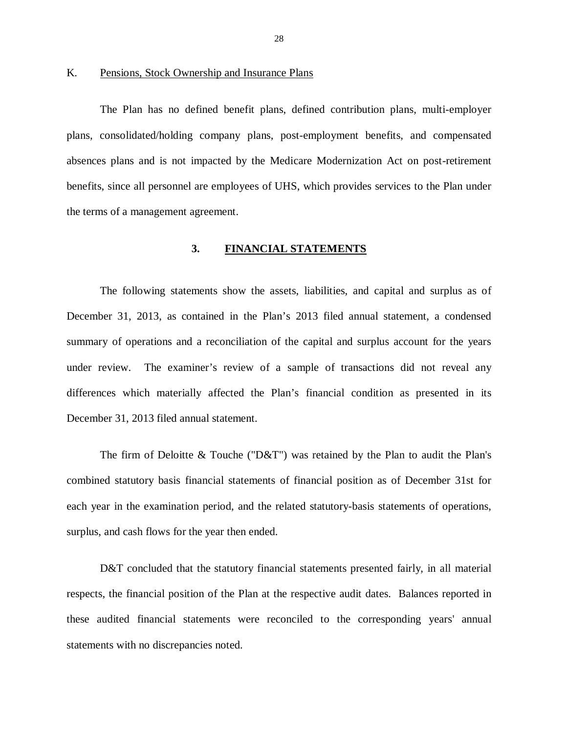# <span id="page-29-0"></span>K. Pensions, Stock Ownership and Insurance Plans

 The Plan has no defined benefit plans, defined contribution plans, multi-employer plans, consolidated/holding company plans, post-employment benefits, and compensated absences plans and is not impacted by the Medicare Modernization Act on post-retirement benefits, since all personnel are employees of UHS, which provides services to the Plan under the terms of a management agreement.

# **3. FINANCIAL STATEMENTS**

 The following statements show the assets, liabilities, and capital and surplus as of December 31, 2013, as contained in the Plan's 2013 filed annual statement, a condensed summary of operations and a reconciliation of the capital and surplus account for the years under review. The examiner's review of a sample of transactions did not reveal any differences which materially affected the Plan's financial condition as presented in its December 31, 2013 filed annual statement.

 The firm of Deloitte & Touche ("D&T") was retained by the Plan to audit the Plan's combined statutory basis financial statements of financial position as of December 31st for each year in the examination period, and the related statutory-basis statements of operations, surplus, and cash flows for the year then ended.

D&T concluded that the statutory financial statements presented fairly, in all material respects, the financial position of the Plan at the respective audit dates. Balances reported in these audited financial statements were reconciled to the corresponding years' annual statements with no discrepancies noted.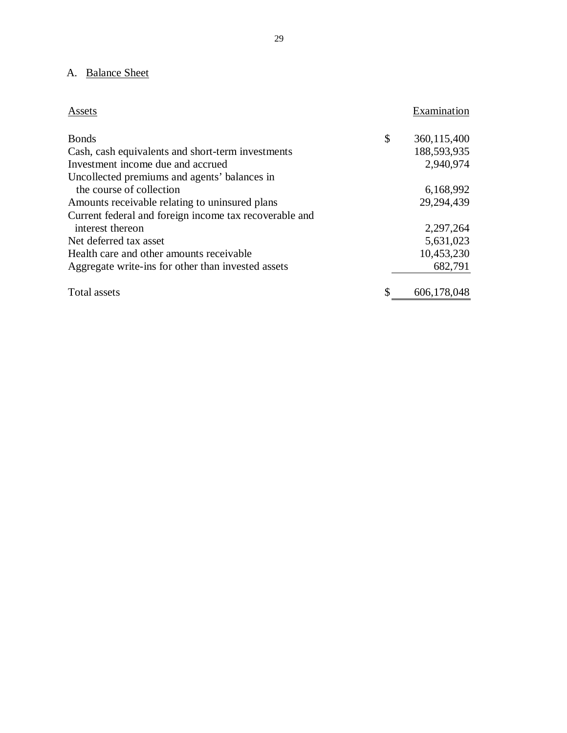# <span id="page-30-0"></span>A. Balance Sheet

| Assets                                                 | Examination       |
|--------------------------------------------------------|-------------------|
| <b>Bonds</b>                                           | \$<br>360,115,400 |
| Cash, cash equivalents and short-term investments      | 188,593,935       |
| Investment income due and accrued                      | 2,940,974         |
| Uncollected premiums and agents' balances in           |                   |
| the course of collection                               | 6,168,992         |
| Amounts receivable relating to uninsured plans         | 29,294,439        |
| Current federal and foreign income tax recoverable and |                   |
| interest thereon                                       | 2,297,264         |
| Net deferred tax asset                                 | 5,631,023         |
| Health care and other amounts receivable               | 10,453,230        |
| Aggregate write-ins for other than invested assets     | 682,791           |
| Total assets                                           | 606,178,048       |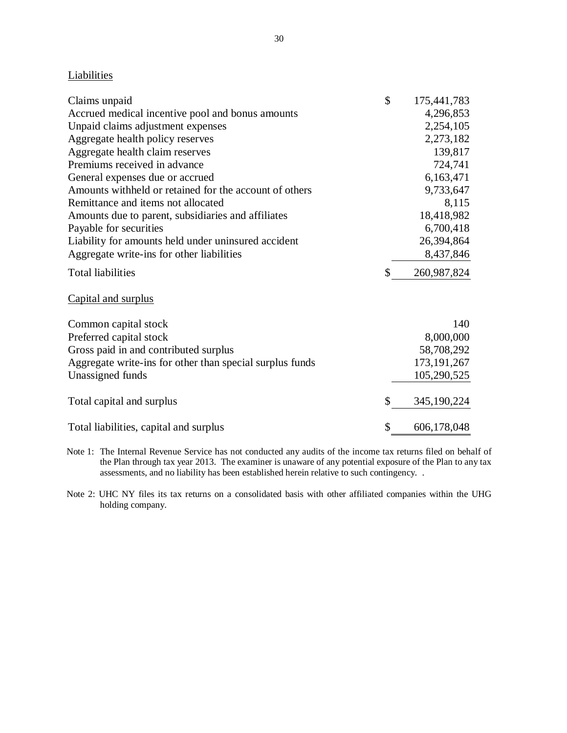# **Liabilities**

| Claims unpaid                                            | \$<br>175,441,783 |
|----------------------------------------------------------|-------------------|
| Accrued medical incentive pool and bonus amounts         | 4,296,853         |
| Unpaid claims adjustment expenses                        | 2,254,105         |
| Aggregate health policy reserves                         | 2,273,182         |
| Aggregate health claim reserves                          | 139,817           |
| Premiums received in advance                             | 724,741           |
| General expenses due or accrued                          | 6,163,471         |
| Amounts withheld or retained for the account of others   | 9,733,647         |
| Remittance and items not allocated                       | 8,115             |
| Amounts due to parent, subsidiaries and affiliates       | 18,418,982        |
| Payable for securities                                   | 6,700,418         |
| Liability for amounts held under uninsured accident      | 26,394,864        |
| Aggregate write-ins for other liabilities                | 8,437,846         |
| <b>Total liabilities</b>                                 | \$<br>260,987,824 |
| Capital and surplus                                      |                   |
| Common capital stock                                     | 140               |
| Preferred capital stock                                  | 8,000,000         |
| Gross paid in and contributed surplus                    | 58,708,292        |
| Aggregate write-ins for other than special surplus funds | 173, 191, 267     |
| Unassigned funds                                         | 105,290,525       |
| Total capital and surplus                                | \$<br>345,190,224 |
|                                                          |                   |
| Total liabilities, capital and surplus                   | \$<br>606,178,048 |

 Note 1: The Internal Revenue Service has not conducted any audits of the income tax returns filed on behalf of the Plan through tax year 2013. The examiner is unaware of any potential exposure of the Plan to any tax assessments, and no liability has been established herein relative to such contingency. .

 Note 2: UHC NY files its tax returns on a consolidated basis with other affiliated companies within the UHG holding company.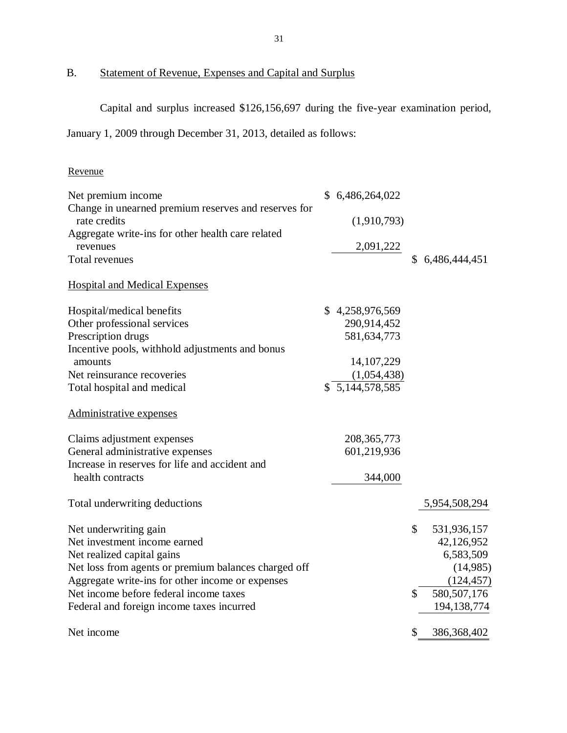B. Statement of Revenue, Expenses and Capital and Surplus

Capital and surplus increased \$126,156,697 during the five-year examination period,

January 1, 2009 through December 31, 2013, detailed as follows:

# Revenue

| Net premium income                                   | \$6,486,264,022            |                     |
|------------------------------------------------------|----------------------------|---------------------|
| Change in unearned premium reserves and reserves for |                            |                     |
| rate credits                                         | (1,910,793)                |                     |
| Aggregate write-ins for other health care related    |                            |                     |
| revenues                                             | 2,091,222                  |                     |
| Total revenues                                       |                            | \$6,486,444,451     |
| <b>Hospital and Medical Expenses</b>                 |                            |                     |
|                                                      |                            |                     |
| Hospital/medical benefits                            | \$4,258,976,569            |                     |
| Other professional services<br>Prescription drugs    | 290,914,452<br>581,634,773 |                     |
| Incentive pools, withhold adjustments and bonus      |                            |                     |
| amounts                                              | 14, 107, 229               |                     |
| Net reinsurance recoveries                           | (1,054,438)                |                     |
| Total hospital and medical                           | $\sqrt{5,144,578,585}$     |                     |
|                                                      |                            |                     |
| Administrative expenses                              |                            |                     |
| Claims adjustment expenses                           | 208, 365, 773              |                     |
| General administrative expenses                      | 601,219,936                |                     |
| Increase in reserves for life and accident and       |                            |                     |
| health contracts                                     | 344,000                    |                     |
| Total underwriting deductions                        |                            | 5,954,508,294       |
| Net underwriting gain                                |                            | \$<br>531,936,157   |
| Net investment income earned                         |                            | 42,126,952          |
| Net realized capital gains                           |                            | 6,583,509           |
| Net loss from agents or premium balances charged off |                            | (14,985)            |
| Aggregate write-ins for other income or expenses     |                            | (124, 457)          |
| Net income before federal income taxes               |                            | 580, 507, 176<br>\$ |
| Federal and foreign income taxes incurred            |                            | 194, 138, 774       |
| Net income                                           |                            | \$<br>386, 368, 402 |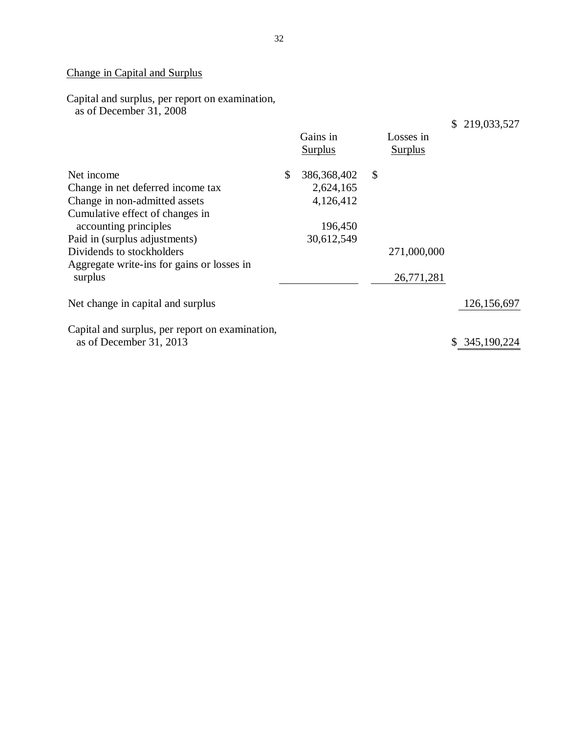# Change in Capital and Surplus

Capital and surplus, per report on examination, as of December 31, 2008

|                                                                                                                                                                      | Gains in<br><b>Surplus</b> | Losses in<br><b>Surplus</b> | \$219,033,527 |
|----------------------------------------------------------------------------------------------------------------------------------------------------------------------|----------------------------|-----------------------------|---------------|
| Net income                                                                                                                                                           | \$<br>386, 368, 402        | \$                          |               |
| Change in net deferred income tax                                                                                                                                    | 2,624,165                  |                             |               |
| Change in non-admitted assets                                                                                                                                        | 4,126,412                  |                             |               |
| Cumulative effect of changes in<br>accounting principles<br>Paid in (surplus adjustments)<br>Dividends to stockholders<br>Aggregate write-ins for gains or losses in | 196,450<br>30,612,549      | 271,000,000<br>26,771,281   |               |
| surplus                                                                                                                                                              |                            |                             |               |
| Net change in capital and surplus                                                                                                                                    |                            |                             | 126, 156, 697 |
| Capital and surplus, per report on examination,<br>as of December 31, 2013                                                                                           |                            |                             | \$345,190,224 |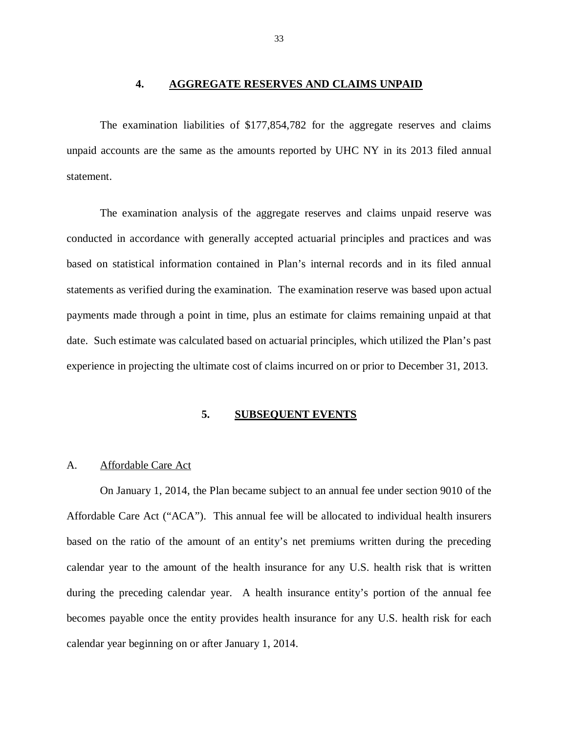# **4. AGGREGATE RESERVES AND CLAIMS UNPAID**

<span id="page-34-0"></span> The examination liabilities of \$177,854,782 for the aggregate reserves and claims unpaid accounts are the same as the amounts reported by UHC NY in its 2013 filed annual statement.

 The examination analysis of the aggregate reserves and claims unpaid reserve was conducted in accordance with generally accepted actuarial principles and practices and was based on statistical information contained in Plan's internal records and in its filed annual statements as verified during the examination. The examination reserve was based upon actual payments made through a point in time, plus an estimate for claims remaining unpaid at that date. Such estimate was calculated based on actuarial principles, which utilized the Plan's past experience in projecting the ultimate cost of claims incurred on or prior to December 31, 2013.

# **5. SUBSEQUENT EVENTS**

# A. Affordable Care Act

 On January 1, 2014, the Plan became subject to an annual fee under section 9010 of the Affordable Care Act ("ACA"). This annual fee will be allocated to individual health insurers based on the ratio of the amount of an entity's net premiums written during the preceding calendar year to the amount of the health insurance for any U.S. health risk that is written during the preceding calendar year. A health insurance entity's portion of the annual fee becomes payable once the entity provides health insurance for any U.S. health risk for each calendar year beginning on or after January 1, 2014.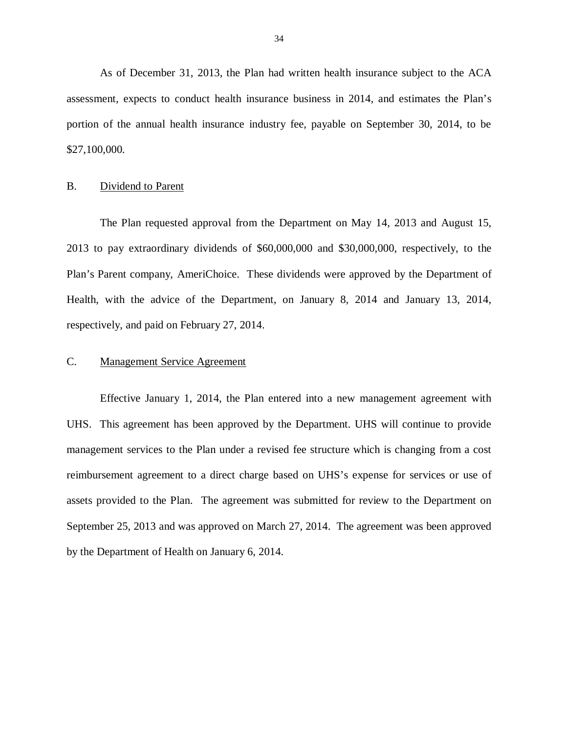As of December 31, 2013, the Plan had written health insurance subject to the ACA assessment, expects to conduct health insurance business in 2014, and estimates the Plan's portion of the annual health insurance industry fee, payable on September 30, 2014, to be \$27,100,000.

# B. Dividend to Parent

 The Plan requested approval from the Department on May 14, 2013 and August 15, 2013 to pay extraordinary dividends of \$60,000,000 and \$30,000,000, respectively, to the Plan's Parent company, AmeriChoice. These dividends were approved by the Department of Health, with the advice of the Department, on January 8, 2014 and January 13, 2014, respectively, and paid on February 27, 2014.

# C. Management Service Agreement

 Effective January 1, 2014, the Plan entered into a new management agreement with UHS. This agreement has been approved by the Department. UHS will continue to provide management services to the Plan under a revised fee structure which is changing from a cost reimbursement agreement to a direct charge based on UHS's expense for services or use of assets provided to the Plan. The agreement was submitted for review to the Department on September 25, 2013 and was approved on March 27, 2014. The agreement was been approved by the Department of Health on January 6, 2014.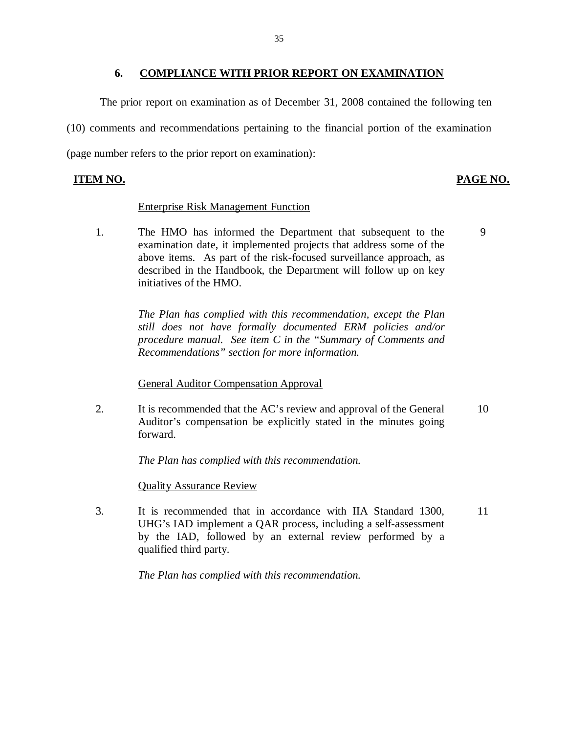#### **6. COMPLIANCE WITH PRIOR REPORT ON EXAMINATION**

<span id="page-36-0"></span> The prior report on examination as of December 31, 2008 contained the following ten (10) comments and recommendations pertaining to the financial portion of the examination (page number refers to the prior report on examination):

# **ITEM NO. PAGE NO.**

# Enterprise Risk Management Function

1. examination date, it implemented projects that address some of the above items. As part of the risk-focused surveillance approach, as described in the Handbook, the Department will follow up on key initiatives of the HMO. The HMO has informed the Department that subsequent to the 9

> *The Plan has complied with this recommendation, except the Plan still does not have formally documented ERM policies and/or procedure manual. See item C in the "Summary of Comments and Recommendations" section for more information.*

**General Auditor Compensation Approval** 

2. Auditor's compensation be explicitly stated in the minutes going It is recommended that the AC's review and approval of the General 10 forward.

 *The Plan has complied with this recommendation.* 

Quality Assurance Review

 $\mathcal{E}$  UHG's IAD implement a QAR process, including a self-assessment by the IAD, followed by an external review performed by a It is recommended that in accordance with IIA Standard 1300. 11 qualified third party.

 *The Plan has complied with this recommendation.*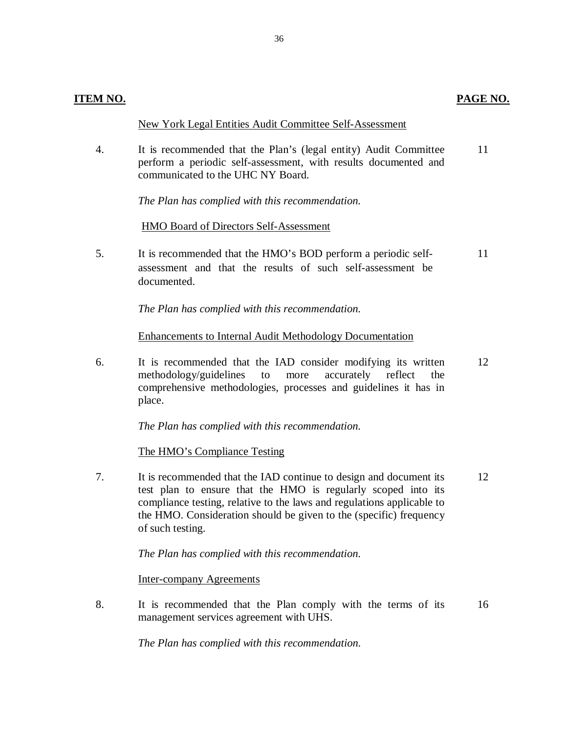# New York Legal Entities Audit Committee Self-Assessment

 $\overline{4}$ . perform a periodic self-assessment, with results documented and communicated to the UHC NY Board. It is recommended that the Plan's (legal entity) Audit Committee 11

 *The Plan has complied with this recommendation.* 

# HMO Board of Directors Self-Assessment

5. assessment and that the results of such self-assessment be documented. 5. It is recommended that the HMO's BOD perform a periodic self-<br>assessment and that the results of such self-assessment be<br>documented.

 *The Plan has complied with this recommendation.* 

# Enhancements to Internal Audit Methodology Documentation

6. methodology/guidelines to more accurately reflect the comprehensive methodologies, processes and guidelines it has in It is recommended that the IAD consider modifying its written place. 12

 *The Plan has complied with this recommendation.* 

The HMO's Compliance Testing

 $7<sup>1</sup>$  test plan to ensure that the HMO is regularly scoped into its compliance testing, relative to the laws and regulations applicable to the HMO. Consideration should be given to the (specific) frequency of such testing. It is recommended that the IAD continue to design and document its 12

 *The Plan has complied with this recommendation.* 

Inter-company Agreements

 $8<sub>1</sub>$  management services agreement with UHS. It is recommended that the Plan comply with the terms of its 16

 *The Plan has complied with this recommendation.*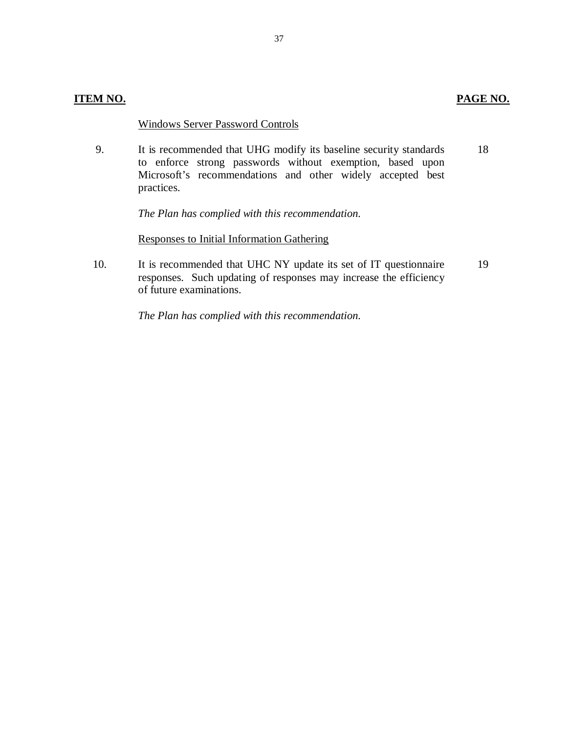# **ITEM NO. PAGE NO.**

# Windows Server Password Controls

9. to enforce strong passwords without exemption, based upon Microsoft's recommendations and other widely accepted best 9. 10. It is recommended that UHG modify its baseline security standards practices. 18

 *The Plan has complied with this recommendation.* 

Responses to Initial Information Gathering

10. responses. Such updating of responses may increase the efficiency of future examinations. It is recommended that UHC NY update its set of IT questionnaire 19

 *The Plan has complied with this recommendation.*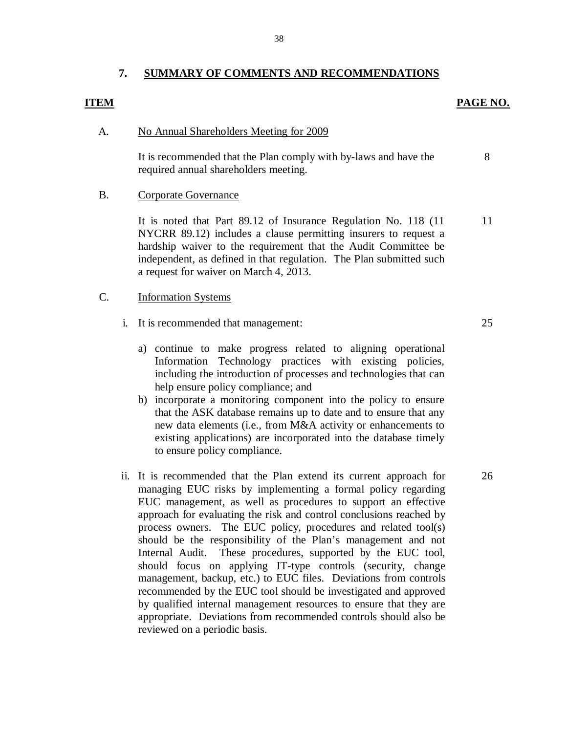#### **7. SUMMARY OF COMMENTS AND RECOMMENDATIONS**

# **PAGE NO. PAGE NO.**

8

25

26

#### A. No Annual Shareholders Meeting for 2009

 required annual shareholders meeting. It is recommended that the Plan comply with by-laws and have the

# A.<br>B.  $B<sub>1</sub>$ Corporate Governance

 NYCRR 89.12) includes a clause permitting insurers to request a hardship waiver to the requirement that the Audit Committee be independent, as defined in that regulation. The Plan submitted such a request for waiver on March 4, 2013. It is noted that Part 89.12 of Insurance Regulation No. 118 (11 11

#### Information Systems C.

- i. It is recommended that management:
	- a) continue to make progress related to aligning operational Information Technology practices with existing policies, including the introduction of processes and technologies that can help ensure policy compliance; and
	- b) incorporate a monitoring component into the policy to ensure that the ASK database remains up to date and to ensure that any new data elements (i.e., from M&A activity or enhancements to existing applications) are incorporated into the database timely to ensure policy compliance.
- ii. It is recommended that the Plan extend its current approach for managing EUC risks by implementing a formal policy regarding EUC management, as well as procedures to support an effective approach for evaluating the risk and control conclusions reached by process owners. The EUC policy, procedures and related tool(s) should be the responsibility of the Plan's management and not Internal Audit. These procedures, supported by the EUC tool, should focus on applying IT-type controls (security, change management, backup, etc.) to EUC files. Deviations from controls recommended by the EUC tool should be investigated and approved by qualified internal management resources to ensure that they are appropriate. Deviations from recommended controls should also be reviewed on a periodic basis.

38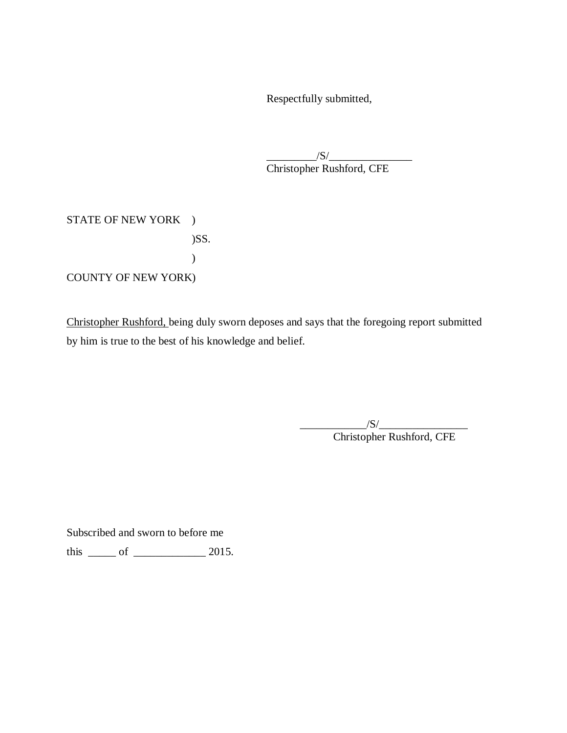Respectfully submitted,

 Christopher Rushford, CFE  $/S/$ 

STATE OF NEW YORK ) COUNTY OF NEW YORK) )SS. )

Christopher Rushford, being duly sworn deposes and says that the foregoing report submitted by him is true to the best of his knowledge and belief.

 $/S/$ 

Christopher Rushford, CFE

Subscribed and sworn to before me

this  $\frac{\ }{\ }$  of  $\frac{\ }{\ }$  2015.